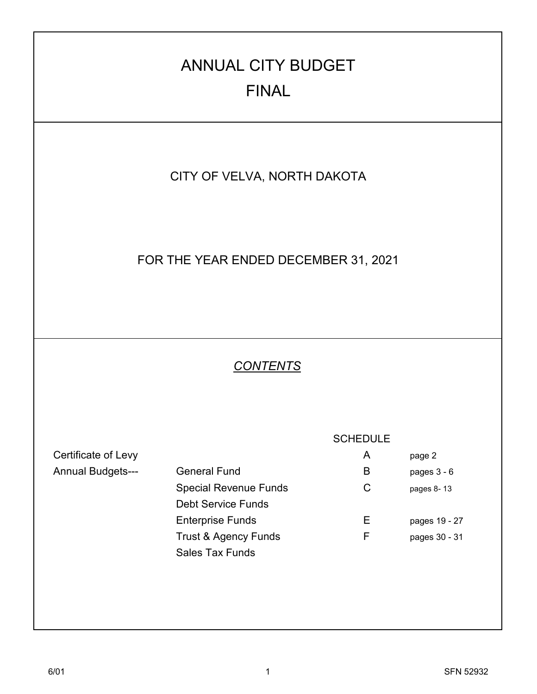# CITY OF VELVA, NORTH DAKOTA Certificate of Levy **A** page 2 Annual Budgets--- General Fund B B pages 3 - 6 Special Revenue Funds<br>
C pages 8-13 Debt Service Funds Enterprise Funds<br>
E pages 19 - 27 Trust & Agency Funds<br>
F pages 30 - 31 Sales Tax Funds *CONTENTS* **SCHEDULE** ANNUAL CITY BUDGET FINAL FOR THE YEAR ENDED DECEMBER 31, 2021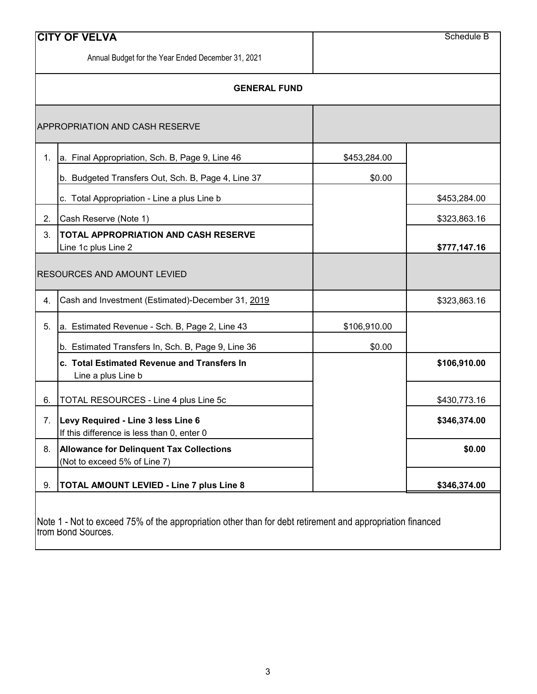|    | <b>CITY OF VELVA</b>                                                             |              | Schedule B   |
|----|----------------------------------------------------------------------------------|--------------|--------------|
|    | Annual Budget for the Year Ended December 31, 2021                               |              |              |
|    | <b>GENERAL FUND</b>                                                              |              |              |
|    | <b>APPROPRIATION AND CASH RESERVE</b>                                            |              |              |
| 1. | a. Final Appropriation, Sch. B, Page 9, Line 46                                  | \$453,284.00 |              |
|    | b. Budgeted Transfers Out, Sch. B, Page 4, Line 37                               | \$0.00       |              |
|    | c. Total Appropriation - Line a plus Line b                                      |              | \$453,284.00 |
| 2. | Cash Reserve (Note 1)                                                            |              | \$323,863.16 |
| 3. | <b>TOTAL APPROPRIATION AND CASH RESERVE</b><br>Line 1c plus Line 2               |              | \$777,147.16 |
|    |                                                                                  |              |              |
|    | <b>RESOURCES AND AMOUNT LEVIED</b>                                               |              |              |
| 4. | Cash and Investment (Estimated)-December 31, 2019                                |              | \$323,863.16 |
| 5. | a. Estimated Revenue - Sch. B, Page 2, Line 43                                   | \$106,910.00 |              |
|    | b. Estimated Transfers In, Sch. B, Page 9, Line 36                               | \$0.00       |              |
|    | c. Total Estimated Revenue and Transfers In<br>Line a plus Line b                |              | \$106,910.00 |
| 6. | TOTAL RESOURCES - Line 4 plus Line 5c                                            |              | \$430,773.16 |
| 7. | Levy Required - Line 3 less Line 6<br>If this difference is less than 0, enter 0 |              | \$346,374.00 |
| 8. | <b>Allowance for Delinquent Tax Collections</b><br>(Not to exceed 5% of Line 7)  |              | \$0.00       |

Note 1 - Not to exceed 75% of the appropriation other than for debt retirement and appropriation financed from Bond Sources.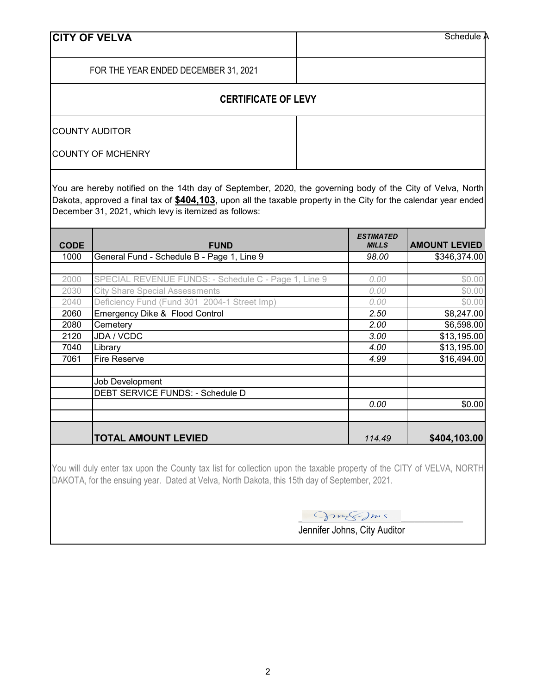| <b>CITY OF VELVA</b>                 | Schedule A |
|--------------------------------------|------------|
| FOR THE YEAR ENDED DECEMBER 31, 2021 |            |
| <b>CERTIFICATE OF LEVY</b>           |            |
| <b>COUNTY AUDITOR</b>                |            |
| <b>COUNTY OF MCHENRY</b>             |            |

You are hereby notified on the 14th day of September, 2020, the governing body of the City of Velva, North Dakota, approved a final tax of **\$404,103**, upon all the taxable property in the City for the calendar year ended December 31, 2021, which levy is itemized as follows:

| <b>CODE</b> | <b>FUND</b>                                          | <b>ESTIMATED</b><br><b>MILLS</b> | <b>AMOUNT LEVIED</b> |
|-------------|------------------------------------------------------|----------------------------------|----------------------|
| 1000        | General Fund - Schedule B - Page 1, Line 9           | 98.00                            | \$346,374.00         |
|             |                                                      |                                  |                      |
| 2000        | SPECIAL REVENUE FUNDS: - Schedule C - Page 1, Line 9 | 0.00                             | \$0.00               |
| 2030        | <b>City Share Special Assessments</b>                | 0.00                             | \$0.00               |
| 2040        | Deficiency Fund (Fund 301 2004-1 Street Imp)         | 0.00                             | \$0.00               |
| 2060        | Emergency Dike & Flood Control                       | 2.50                             | \$8,247.00           |
| 2080        | Cemetery                                             | 2.00                             | \$6,598.00           |
| 2120        | JDA / VCDC                                           | 3.00                             | \$13,195.00          |
| 7040        | Library                                              | 4.00                             | \$13,195.00          |
| 7061        | <b>Fire Reserve</b>                                  | 4.99                             | \$16,494.00          |
|             |                                                      |                                  |                      |
|             | Job Development                                      |                                  |                      |
|             | DEBT SERVICE FUNDS: - Schedule D                     |                                  |                      |
|             |                                                      | 0.00                             | \$0.00               |
|             |                                                      |                                  |                      |
|             |                                                      |                                  |                      |
|             | <b>TOTAL AMOUNT LEVIED</b>                           | 114.49                           | \$404,103.00         |

You will duly enter tax upon the County tax list for collection upon the taxable property of the CITY of VELVA, NORTH DAKOTA, for the ensuing year. Dated at Velva, North Dakota, this 15th day of September, 2021.

 $Q_{2m}\leqslant m$ s

Jennifer Johns, City Auditor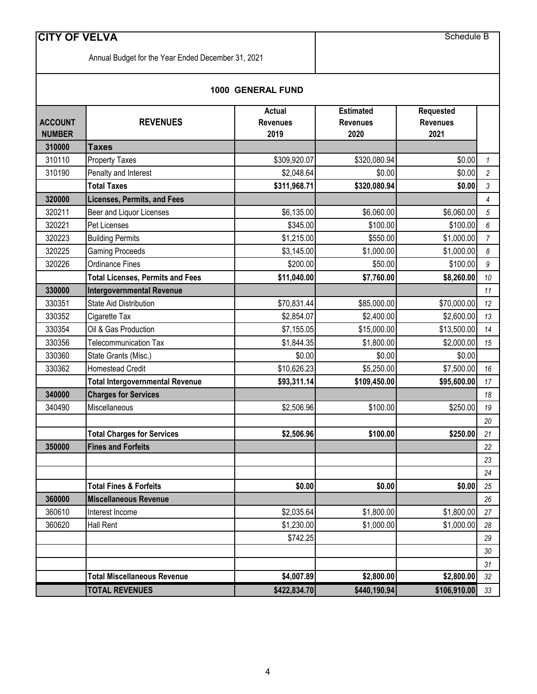Annual Budget for the Year Ended December 31, 2021

#### **1000 GENERAL FUND**

| <b>ACCOUNT</b><br><b>NUMBER</b> | <b>REVENUES</b>                         | <b>Actual</b><br><b>Revenues</b><br>2019 | <b>Estimated</b><br><b>Revenues</b><br>2020 | Requested<br><b>Revenues</b><br>2021 |                |
|---------------------------------|-----------------------------------------|------------------------------------------|---------------------------------------------|--------------------------------------|----------------|
| 310000                          | <b>Taxes</b>                            |                                          |                                             |                                      |                |
| 310110                          | <b>Property Taxes</b>                   | \$309,920.07                             | \$320,080.94                                | \$0.00                               | $\mathbf{1}$   |
| 310190                          | Penalty and Interest                    | \$2,048.64                               | \$0.00                                      | \$0.00                               | $\overline{a}$ |
|                                 | <b>Total Taxes</b>                      | \$311,968.71                             | \$320,080.94                                | \$0.00                               | 3              |
| 320000                          | <b>Licenses, Permits, and Fees</b>      |                                          |                                             |                                      | $\overline{4}$ |
| 320211                          | Beer and Liquor Licenses                | \$6,135.00                               | \$6,060.00                                  | \$6,060.00                           | 5              |
| 320221                          | Pet Licenses                            | \$345.00                                 | \$100.00                                    | \$100.00                             | 6              |
| 320223                          | <b>Building Permits</b>                 | \$1,215.00                               | \$550.00                                    | \$1,000.00                           | $\overline{7}$ |
| 320225                          | <b>Gaming Proceeds</b>                  | \$3,145.00                               | \$1,000.00                                  | \$1,000.00                           | 8              |
| 320226                          | <b>Ordinance Fines</b>                  | \$200.00                                 | \$50.00                                     | \$100.00                             | 9              |
|                                 | <b>Total Licenses, Permits and Fees</b> | \$11,040.00                              | \$7,760.00                                  | \$8,260.00                           | 10             |
| 330000                          | <b>Intergovernmental Revenue</b>        |                                          |                                             |                                      | 11             |
| 330351                          | <b>State Aid Distribution</b>           | \$70,831.44                              | \$85,000.00                                 | \$70,000.00                          | 12             |
| 330352                          | Cigarette Tax                           | \$2,854.07                               | \$2,400.00                                  | \$2,600.00                           | 13             |
| 330354                          | Oil & Gas Production                    | \$7,155.05                               | \$15,000.00                                 | \$13,500.00                          | 14             |
| 330356                          | <b>Telecommunication Tax</b>            | \$1,844.35                               | \$1,800.00                                  | \$2,000.00                           | 15             |
| 330360                          | State Grants (Misc.)                    | \$0.00                                   | \$0.00                                      | \$0.00                               |                |
| 330362                          | <b>Homestead Credit</b>                 | \$10,626.23                              | \$5,250.00                                  | \$7,500.00                           | 16             |
|                                 | <b>Total Intergovernmental Revenue</b>  | \$93,311.14                              | \$109,450.00                                | \$95,600.00                          | 17             |
| 340000                          | <b>Charges for Services</b>             |                                          |                                             |                                      | 18             |
| 340490                          | Miscellaneous                           | \$2,506.96                               | \$100.00                                    | \$250.00                             | 19             |
|                                 |                                         |                                          |                                             |                                      | 20             |
|                                 | <b>Total Charges for Services</b>       | \$2,506.96                               | \$100.00                                    | \$250.00                             | 21             |
| 350000                          | <b>Fines and Forfeits</b>               |                                          |                                             |                                      | 22             |
|                                 |                                         |                                          |                                             |                                      | 23             |
|                                 |                                         |                                          |                                             |                                      | 24             |
|                                 | <b>Total Fines &amp; Forfeits</b>       | \$0.00                                   | \$0.00                                      | \$0.00                               | 25             |
| 360000                          | <b>Miscellaneous Revenue</b>            |                                          |                                             |                                      | 26             |
| 360610                          | Interest Income                         | \$2,035.64                               | \$1,800.00                                  | \$1,800.00                           | 27             |
| 360620                          | <b>Hall Rent</b>                        | \$1,230.00                               | \$1,000.00                                  | \$1,000.00                           | 28             |
|                                 |                                         | \$742.25                                 |                                             |                                      | 29             |
|                                 |                                         |                                          |                                             |                                      | 30             |
|                                 |                                         |                                          |                                             |                                      | 31             |
|                                 | <b>Total Miscellaneous Revenue</b>      | \$4,007.89                               | \$2,800.00                                  | \$2,800.00                           | 32             |
|                                 | <b>TOTAL REVENUES</b>                   | \$422,834.70                             | \$440,190.94                                | \$106,910.00                         | 33             |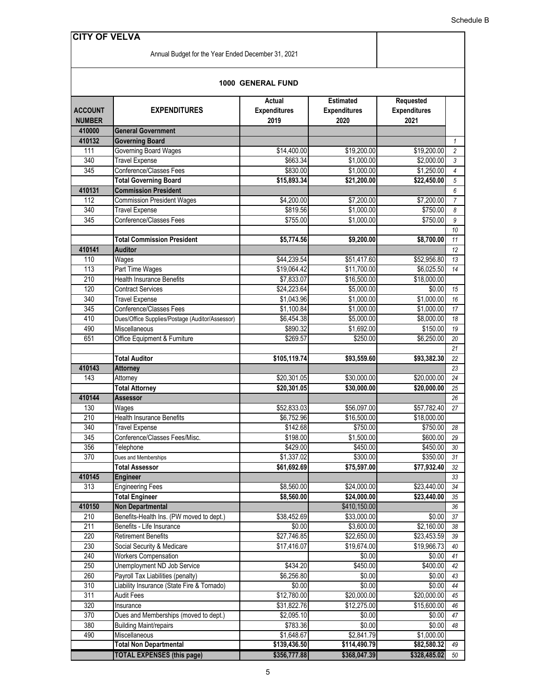Annual Budget for the Year Ended December 31, 2021

#### **1000 GENERAL FUND**

|                  |                                                     | Actual              | <b>Estimated</b>    | Requested           |                |
|------------------|-----------------------------------------------------|---------------------|---------------------|---------------------|----------------|
| <b>ACCOUNT</b>   | <b>EXPENDITURES</b>                                 | <b>Expenditures</b> | <b>Expenditures</b> | <b>Expenditures</b> |                |
| <b>NUMBER</b>    |                                                     | 2019                | 2020                | 2021                |                |
| 410000<br>410132 | <b>General Government</b><br><b>Governing Board</b> |                     |                     |                     | $\mathbf{1}$   |
| 111              | <b>Governing Board Wages</b>                        | \$14,400.00         | \$19,200.00         | \$19,200.00         | $\overline{2}$ |
| 340              | <b>Travel Expense</b>                               | \$663.34            | \$1,000.00          | \$2,000.00          | 3              |
| 345              | Conference/Classes Fees                             | \$830.00            | \$1,000.00          | \$1,250.00          | $\overline{4}$ |
|                  | <b>Total Governing Board</b>                        | \$15,893.34         | \$21,200.00         | \$22,450.00         | $\sqrt{5}$     |
| 410131           | <b>Commission President</b>                         |                     |                     |                     | 6              |
| 112              | <b>Commission President Wages</b>                   | \$4,200.00          | \$7,200.00          | \$7,200.00          | $\overline{7}$ |
| 340              | <b>Travel Expense</b>                               | \$819.56            | \$1,000.00          | \$750.00            | 8              |
| 345              | Conference/Classes Fees                             | \$755.00            | \$1,000.00          | \$750.00            | 9              |
|                  |                                                     |                     |                     |                     | 10             |
|                  | <b>Total Commission President</b>                   | \$5,774.56          | \$9,200.00          | \$8,700.00          | 11             |
| 410141           | <b>Auditor</b>                                      |                     |                     |                     | 12             |
| 110              | Wages                                               | \$44,239.54         | \$51,417.60         | \$52,956.80         | 13             |
| 113              | Part Time Wages                                     | \$19,064.42         | \$11,700.00         | \$6,025.50          | 14             |
| 210              | <b>Health Insurance Benefits</b>                    | \$7,833.07          | \$16,500.00         | \$18,000.00         |                |
| 120              | <b>Contract Services</b>                            | \$24,223.64         | \$5,000.00          | \$0.00              | 15             |
| 340              | <b>Travel Expense</b>                               | \$1,043.96          | \$1,000.00          | \$1,000.00          | 16             |
| 345              | Conference/Classes Fees                             | \$1,100.84          | \$1,000.00          | \$1,000.00          | 17             |
| 410              | Dues/Office Supplies/Postage (Auditor/Assessor)     | \$6,454.38          | \$5,000.00          | \$8,000.00          | 18             |
| 490              | Miscellaneous                                       | \$890.32            | \$1,692.00          | \$150.00            | 19             |
| 651              | Office Equipment & Furniture                        | \$269.57            | \$250.00            | \$6,250.00          | 20             |
|                  |                                                     |                     |                     |                     | 21             |
|                  | <b>Total Auditor</b>                                | \$105,119.74        | \$93,559.60         | \$93,382.30         | 22             |
| 410143           | <b>Attorney</b>                                     |                     |                     |                     | 23             |
| 143              | Attorney                                            | \$20,301.05         | \$30,000.00         | \$20,000.00         | 24             |
|                  | <b>Total Attorney</b>                               | \$20,301.05         | \$30,000.00         | \$20,000.00         | 25             |
| 410144           | <b>Assessor</b>                                     |                     |                     |                     | 26             |
| 130              | Wages                                               | \$52,833.03         | \$56,097.00         | \$57,782.40         | 27             |
| 210              | <b>Health Insurance Benefits</b>                    | \$6,752.96          | \$16,500.00         | \$18,000.00         |                |
| 340              | <b>Travel Expense</b>                               | \$142.68            | \$750.00            | \$750.00            | 28             |
| 345              | Conference/Classes Fees/Misc.                       | \$198.00            | \$1,500.00          | \$600.00            | 29             |
| 356              | Telephone                                           | \$429.00            | \$450.00            | \$450.00            | 30             |
| 370              | Dues and Memberships                                | \$1,337.02          | \$300.00            | \$350.00            | 31             |
| 410145           | <b>Total Assessor</b>                               | \$61,692.69         | \$75,597.00         | \$77,932.40         | 32             |
| 313              | <b>Engineer</b><br><b>Engineering Fees</b>          | \$8,560.00          | \$24,000.00         | \$23,440.00         | 33<br>34       |
|                  | <b>Total Engineer</b>                               | \$8,560.00          | \$24,000.00         | \$23,440.00         | 35             |
| 410150           | <b>Non Departmental</b>                             |                     | \$410,150.00        |                     | 36             |
| 210              | Benefits-Health Ins. (PW moved to dept.)            | \$38,452.69         | \$33,000.00         | \$0.00              | 37             |
| 211              | Benefits - Life Insurance                           | \$0.00              | \$3,600.00          | \$2,160.00          | 38             |
| 220              | <b>Retirement Benefits</b>                          | \$27,746.85         | \$22,650.00         | \$23,453.59         | 39             |
| 230              | Social Security & Medicare                          | \$17,416.07         | \$19,674.00         | \$19,966.73         | 40             |
| 240              | <b>Workers Compensation</b>                         |                     | \$0.00              | \$0.00              | 41             |
| 250              | Unemployment ND Job Service                         | \$434.20            | \$450.00            | \$400.00            | 42             |
| 260              | Payroll Tax Liabilities (penalty)                   | \$6,256.80          | \$0.00              | \$0.00              | 43             |
| 310              | Liability Insurance (State Fire & Tornado)          | \$0.00              | \$0.00              | \$0.00              | 44             |
| 311              | <b>Audit Fees</b>                                   | \$12,780.00         | \$20,000.00         | \$20,000.00         | 45             |
| 320              | Insurance                                           | \$31,822.76         | \$12,275.00         | \$15,600.00         | 46             |
| 370              | Dues and Memberships (moved to dept.)               | \$2,095.10          | \$0.00              | \$0.00              | $47\,$         |
| 380              | <b>Building Maint/repairs</b>                       | \$783.36            | \$0.00              | \$0.00              | 48             |
| 490              | Miscellaneous                                       | \$1,648.67          | \$2,841.79          | \$1,000.00          |                |
|                  | <b>Total Non Departmental</b>                       | \$139,436.50        | \$114,490.79        | \$82,580.32         | 49             |
|                  | <b>TOTAL EXPENSES (this page)</b>                   | \$356,777.88        | \$368,047.39        | \$328,485.02        | 50             |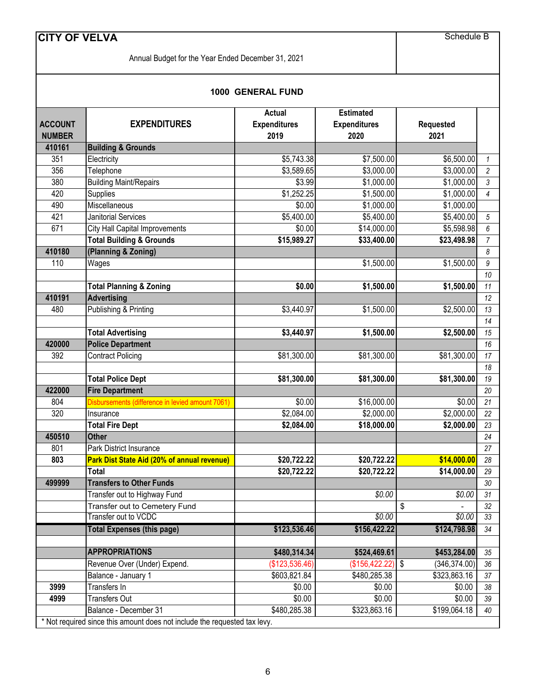Annual Budget for the Year Ended December 31, 2021

Schedule B

#### **1000 GENERAL FUND**

|                |                                                                                                    | <b>Actual</b>       | <b>Estimated</b>    |                     |                 |
|----------------|----------------------------------------------------------------------------------------------------|---------------------|---------------------|---------------------|-----------------|
| <b>ACCOUNT</b> | <b>EXPENDITURES</b>                                                                                | <b>Expenditures</b> | <b>Expenditures</b> | <b>Requested</b>    |                 |
| <b>NUMBER</b>  |                                                                                                    | 2019                | 2020                | 2021                |                 |
| 410161         | <b>Building &amp; Grounds</b>                                                                      |                     |                     |                     |                 |
| 351            | Electricity                                                                                        | \$5,743.38          | \$7,500.00          | \$6,500.00          | $\mathbf{1}$    |
| 356            | Telephone                                                                                          | \$3,589.65          | \$3,000.00          | \$3,000.00          | $\overline{c}$  |
| 380            | <b>Building Maint/Repairs</b>                                                                      | \$3.99              | \$1,000.00          | \$1,000.00          | $\mathfrak{Z}$  |
| 420            | Supplies                                                                                           | \$1,252.25          | \$1,500.00          | \$1,000.00          | 4               |
| 490            | Miscellaneous                                                                                      | \$0.00              | \$1,000.00          | \$1,000.00          |                 |
| 421            | <b>Janitorial Services</b>                                                                         | \$5,400.00          | \$5,400.00          | \$5,400.00          | 5               |
| 671            | <b>City Hall Capital Improvements</b>                                                              | \$0.00              | \$14,000.00         | \$5,598.98          | 6               |
|                | <b>Total Building &amp; Grounds</b>                                                                | \$15,989.27         | \$33,400.00         | \$23,498.98         | $\overline{7}$  |
| 410180         | (Planning & Zoning)                                                                                |                     |                     |                     | 8               |
| 110            | Wages                                                                                              |                     | \$1,500.00          | \$1,500.00          | 9               |
|                |                                                                                                    |                     |                     |                     | 10              |
|                | <b>Total Planning &amp; Zoning</b>                                                                 | \$0.00              | \$1,500.00          | \$1,500.00          | 11              |
| 410191         | <b>Advertising</b>                                                                                 |                     |                     |                     | 12              |
| 480            | Publishing & Printing                                                                              | \$3,440.97          | \$1,500.00          | \$2,500.00          | 13              |
|                |                                                                                                    |                     |                     |                     | 14              |
|                | <b>Total Advertising</b>                                                                           | \$3,440.97          | \$1,500.00          | \$2,500.00          | 15              |
| 420000         | <b>Police Department</b>                                                                           |                     |                     |                     | 16              |
| 392            | <b>Contract Policing</b>                                                                           | \$81,300.00         | \$81,300.00         | \$81,300.00         | 17              |
|                |                                                                                                    |                     |                     |                     | 18              |
|                | <b>Total Police Dept</b>                                                                           | \$81,300.00         | \$81,300.00         | \$81,300.00         | 19              |
| 422000         | <b>Fire Department</b>                                                                             |                     |                     |                     | 20              |
| 804            | Disbursements (difference in levied amount 7061)                                                   | \$0.00              | \$16,000.00         | \$0.00              | 21              |
| 320            | Insurance                                                                                          | \$2,084.00          | \$2,000.00          | \$2,000.00          | 22              |
|                | <b>Total Fire Dept</b>                                                                             | \$2,084.00          | \$18,000.00         | \$2,000.00          | 23              |
| 450510         | <b>Other</b>                                                                                       |                     |                     |                     | 24              |
| 801            | Park District Insurance                                                                            |                     |                     |                     | 27              |
| 803            | Park Dist State Aid (20% of annual revenue)                                                        | \$20,722.22         | \$20,722.22         | \$14,000.00         | 28              |
|                | <b>Total</b>                                                                                       | \$20,722.22         | \$20,722.22         | \$14,000.00         | 29              |
| 499999         | <b>Transfers to Other Funds</b>                                                                    |                     |                     |                     | $30\,$          |
|                | Transfer out to Highway Fund                                                                       |                     | \$0.00              | \$0.00              | $\overline{31}$ |
|                | Transfer out to Cemetery Fund                                                                      |                     |                     | \$                  | 32              |
|                | Transfer out to VCDC                                                                               |                     | \$0.00              | \$0.00              | 33              |
|                | <b>Total Expenses (this page)</b>                                                                  | \$123,536.46        | \$156,422.22        | \$124,798.98        | 34              |
|                | <b>APPROPRIATIONS</b>                                                                              |                     |                     |                     |                 |
|                |                                                                                                    | \$480,314.34        | \$524,469.61        | \$453,284.00        | 35              |
|                | Revenue Over (Under) Expend.                                                                       | (\$123,536.46)      | (\$156, 422.22)     | \$<br>(346, 374.00) | 36              |
|                | Balance - January 1                                                                                | \$603,821.84        | \$480,285.38        | \$323,863.16        | 37              |
| 3999           | Transfers In                                                                                       | \$0.00              | \$0.00              | \$0.00              | 38              |
| 4999           | <b>Transfers Out</b>                                                                               | \$0.00              | \$0.00              | \$0.00              | 39              |
|                | Balance - December 31<br>* Not required since this amount does not include the requested tax levy. | \$480,285.38        | \$323,863.16        | \$199,064.18        | 40              |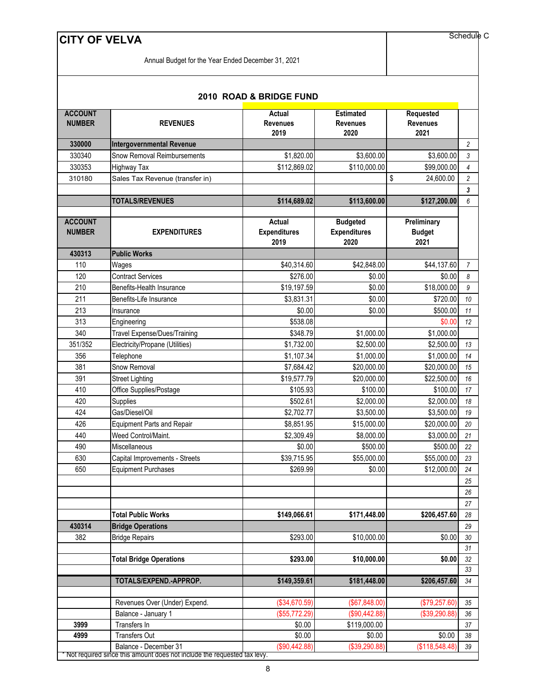Annual Budget for the Year Ended December 31, 2021

Schedule C

| <b>ACCOUNT</b><br><b>NUMBER</b><br><b>REVENUES</b> |                                     | Actual<br><b>Revenues</b><br>2019            | <b>Estimated</b><br><b>Revenues</b><br>2020    | Requested<br><b>Revenues</b><br>2021 |                |
|----------------------------------------------------|-------------------------------------|----------------------------------------------|------------------------------------------------|--------------------------------------|----------------|
| 330000                                             | <b>Intergovernmental Revenue</b>    |                                              |                                                |                                      | $\overline{2}$ |
| 330340                                             | Snow Removal Reimbursements         | \$1,820.00                                   | \$3,600.00                                     | \$3,600.00                           | 3              |
| 330353                                             | <b>Highway Tax</b>                  | \$112,869.02                                 | \$110,000.00                                   | \$99,000.00                          | 4              |
| 310180                                             | Sales Tax Revenue (transfer in)     |                                              |                                                | \$<br>24,600.00                      | $\overline{c}$ |
|                                                    |                                     |                                              |                                                |                                      | 3              |
|                                                    | <b>TOTALS/REVENUES</b>              | \$114,689.02                                 | \$113,600.00                                   | \$127,200.00                         | 6              |
| <b>ACCOUNT</b><br><b>NUMBER</b>                    | <b>EXPENDITURES</b>                 | <b>Actual</b><br><b>Expenditures</b><br>2019 | <b>Budgeted</b><br><b>Expenditures</b><br>2020 | Preliminary<br><b>Budget</b><br>2021 |                |
| 430313                                             | <b>Public Works</b>                 |                                              |                                                |                                      |                |
| 110                                                | Wages                               | \$40,314.60                                  | \$42,848.00                                    | \$44,137.60                          | $\overline{7}$ |
| 120                                                | <b>Contract Services</b>            | \$276.00                                     | \$0.00                                         | \$0.00                               | 8              |
| 210                                                | Benefits-Health Insurance           | \$19,197.59                                  | \$0.00                                         | \$18,000.00                          | 9              |
| 211                                                | Benefits-Life Insurance             | \$3,831.31                                   | \$0.00                                         | \$720.00                             | 10             |
| 213                                                | Insurance                           | \$0.00                                       | \$0.00                                         | \$500.00                             | 11             |
| 313                                                | Engineering                         | \$538.08                                     |                                                | \$0.00                               | 12             |
| 340                                                | <b>Travel Expense/Dues/Training</b> | \$348.79                                     | \$1,000.00                                     | \$1,000.00                           |                |
| 351/352                                            | Electricity/Propane (Utilities)     | \$1,732.00                                   | \$2,500.00                                     | \$2,500.00                           | 13             |
| 356                                                | Telephone                           | \$1,107.34                                   | \$1,000.00                                     | \$1,000.00                           | 14             |
| 381                                                | Snow Removal                        | \$7,684.42                                   | \$20,000.00                                    | \$20,000.00                          | 15             |
| 391                                                | <b>Street Lighting</b>              | \$19,577.79                                  | \$20,000.00                                    | \$22,500.00                          | 16             |
| 410                                                | Office Supplies/Postage             | \$105.93                                     | \$100.00                                       | \$100.00                             | 17             |
| 420                                                | Supplies                            | \$502.61                                     | \$2,000.00                                     | \$2,000.00                           | 18             |
| 424                                                | Gas/Diesel/Oil                      | \$2,702.77                                   | \$3,500.00                                     | \$3,500.00                           | 19             |
| 426                                                | <b>Equipment Parts and Repair</b>   | \$8,851.95                                   | \$15,000.00                                    | \$20,000.00                          | 20             |
| 440                                                | Weed Control/Maint.                 | \$2,309.49                                   | \$8,000.00                                     | \$3,000.00                           | 21             |
| 490                                                | Miscellaneous                       | \$0.00                                       | \$500.00                                       | \$500.00                             | 22             |
| 630                                                | Capital Improvements - Streets      | $\overline{$39,715.95}$                      | \$55,000.00                                    | \$55,000.00                          | 23             |
| 650                                                | <b>Equipment Purchases</b>          | \$269.99                                     | \$0.00                                         | \$12,000.00                          | 24             |
|                                                    |                                     |                                              |                                                |                                      | 25             |
|                                                    |                                     |                                              |                                                |                                      | 26             |
|                                                    |                                     |                                              |                                                |                                      | 27             |
|                                                    | <b>Total Public Works</b>           | \$149,066.61                                 | \$171,448.00                                   | \$206,457.60                         | 28             |
| 430314                                             | <b>Bridge Operations</b>            |                                              |                                                |                                      | 29             |
| 382                                                | <b>Bridge Repairs</b>               | \$293.00                                     | \$10,000.00                                    | \$0.00                               | 30             |
|                                                    |                                     |                                              |                                                |                                      | 31             |
|                                                    | <b>Total Bridge Operations</b>      | \$293.00                                     | \$10,000.00                                    | \$0.00                               | 32             |
|                                                    |                                     |                                              |                                                |                                      | 33             |
|                                                    | TOTALS/EXPEND.-APPROP.              | \$149,359.61                                 | \$181,448.00                                   | \$206,457.60                         | 34             |
|                                                    | Revenues Over (Under) Expend.       | (\$34,670.59)                                | (\$67,848.00)                                  | (\$79,257.60"                        | 35             |
|                                                    | Balance - January 1                 | (\$55,772.29)                                | (\$90,442.88)                                  | (\$39,290.88)                        | 36             |

#### **2010 ROAD & BRIDGE FUND**

 Balance - December 31 (\$90,442.88) (\$39,290.88) (\$118,548.48) *39* Not required since this amount does not include the requested tax levy.

 Transfers In \$0.00 \$119,000.00 *37* Transfers Out \$0.00 \$0.00 \$0.00 *38*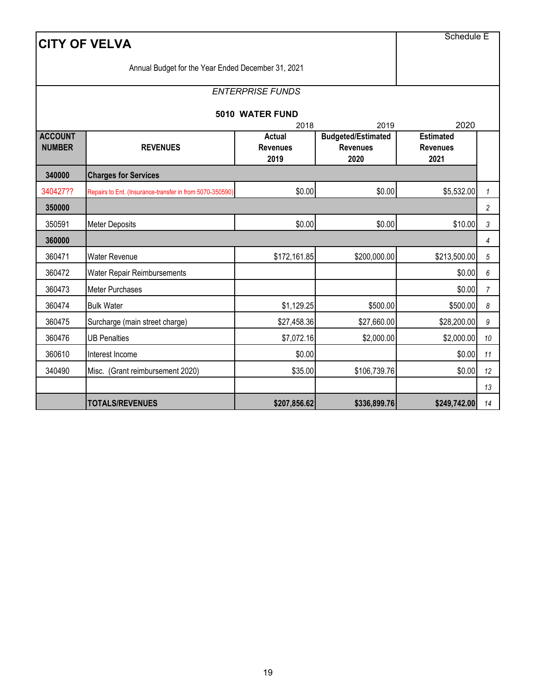| <b>CITY OF VELVA</b>            | <b>Schedule E</b>                                           |                                          |                                                      |                                             |                |  |  |  |
|---------------------------------|-------------------------------------------------------------|------------------------------------------|------------------------------------------------------|---------------------------------------------|----------------|--|--|--|
|                                 | Annual Budget for the Year Ended December 31, 2021          |                                          |                                                      |                                             |                |  |  |  |
|                                 |                                                             | <b>ENTERPRISE FUNDS</b>                  |                                                      |                                             |                |  |  |  |
|                                 |                                                             | 5010 WATER FUND                          |                                                      |                                             |                |  |  |  |
|                                 |                                                             | 2018                                     | 2019                                                 | 2020                                        |                |  |  |  |
| <b>ACCOUNT</b><br><b>NUMBER</b> | <b>REVENUES</b>                                             | <b>Actual</b><br><b>Revenues</b><br>2019 | <b>Budgeted/Estimated</b><br><b>Revenues</b><br>2020 | <b>Estimated</b><br><b>Revenues</b><br>2021 |                |  |  |  |
| 340000                          | <b>Charges for Services</b>                                 |                                          |                                                      |                                             |                |  |  |  |
| 340427??                        | Repairs to Ent. (Insurance-transfer in from 5070-350590)    | \$0.00                                   | \$0.00                                               | \$5,532.00                                  | $\mathbf{1}$   |  |  |  |
| 350000                          |                                                             |                                          |                                                      |                                             | 2              |  |  |  |
| 350591                          | <b>Meter Deposits</b>                                       | \$0.00                                   | \$0.00                                               | \$10.00                                     | 3              |  |  |  |
| 360000                          |                                                             |                                          |                                                      |                                             | 4              |  |  |  |
| 360471                          | <b>Water Revenue</b>                                        | \$172,161.85                             | \$200,000.00                                         | \$213,500.00                                | 5              |  |  |  |
| 360472                          | Water Repair Reimbursements                                 |                                          |                                                      | \$0.00                                      | 6              |  |  |  |
| 360473                          | Meter Purchases                                             |                                          |                                                      | \$0.00                                      | $\overline{7}$ |  |  |  |
| 360474                          | <b>Bulk Water</b>                                           | \$1,129.25                               | \$500.00                                             | \$500.00                                    | 8              |  |  |  |
| 360475                          | Surcharge (main street charge)                              | \$27,458.36                              | \$27,660.00                                          | \$28,200.00                                 | 9              |  |  |  |
| 360476                          | <b>UB Penalties</b>                                         | \$7,072.16                               | \$2,000.00                                           | \$2,000.00                                  | 10             |  |  |  |
| 360610                          | Interest Income                                             | \$0.00                                   |                                                      | \$0.00                                      | 11             |  |  |  |
| 340490                          | \$35.00<br>\$106,739.76<br>Misc. (Grant reimbursement 2020) |                                          |                                                      |                                             |                |  |  |  |
|                                 |                                                             |                                          |                                                      |                                             | 13             |  |  |  |
|                                 | <b>TOTALS/REVENUES</b>                                      | \$207,856.62                             | \$336,899.76                                         | \$249,742.00                                | 14             |  |  |  |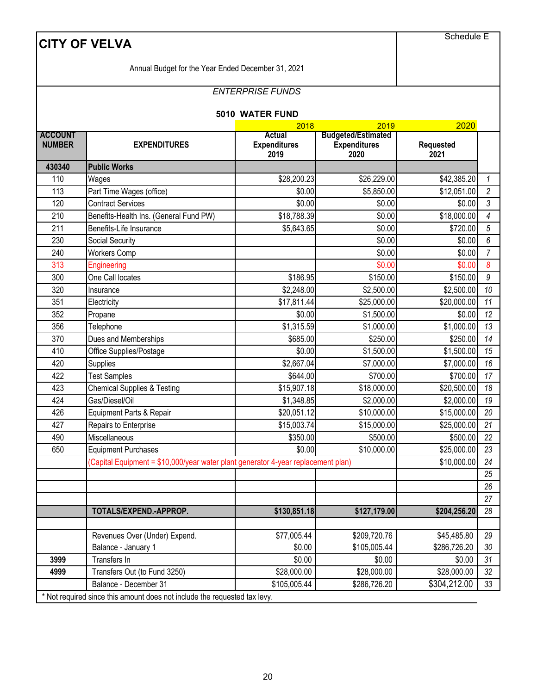|                                 | <b>CITY OF VELVA</b>                                                                               |                                       |                                                          | <b>Schedule E</b>        |              |  |  |
|---------------------------------|----------------------------------------------------------------------------------------------------|---------------------------------------|----------------------------------------------------------|--------------------------|--------------|--|--|
|                                 | Annual Budget for the Year Ended December 31, 2021                                                 |                                       |                                                          |                          |              |  |  |
|                                 |                                                                                                    |                                       |                                                          |                          |              |  |  |
|                                 |                                                                                                    | <b>ENTERPRISE FUNDS</b>               |                                                          |                          |              |  |  |
|                                 |                                                                                                    | 5010 WATER FUND                       |                                                          |                          |              |  |  |
|                                 |                                                                                                    | 2018                                  | 2019                                                     | 2020                     |              |  |  |
| <b>ACCOUNT</b><br><b>NUMBER</b> | <b>EXPENDITURES</b>                                                                                | Actual<br><b>Expenditures</b><br>2019 | <b>Budgeted/Estimated</b><br><b>Expenditures</b><br>2020 | <b>Requested</b><br>2021 |              |  |  |
| 430340                          | <b>Public Works</b>                                                                                |                                       |                                                          |                          |              |  |  |
| 110                             | Wages                                                                                              | \$28,200.23                           | \$26,229.00                                              | \$42,385.20              | $\mathbf{1}$ |  |  |
| 113                             | Part Time Wages (office)                                                                           | \$0.00                                | \$5,850.00                                               | \$12,051.00              | 2            |  |  |
| 120                             | <b>Contract Services</b>                                                                           | \$0.00                                | \$0.00                                                   | \$0.00                   | 3            |  |  |
| 210                             | Benefits-Health Ins. (General Fund PW)                                                             | \$18,788.39                           | \$0.00                                                   | \$18,000.00              | 4            |  |  |
| 211                             | Benefits-Life Insurance                                                                            | \$5,643.65                            | \$0.00                                                   | \$720.00                 | 5            |  |  |
| 230                             | Social Security                                                                                    |                                       | \$0.00                                                   | \$0.00                   | 6            |  |  |
| 240                             | <b>Workers Comp</b>                                                                                |                                       | \$0.00                                                   | \$0.00                   | 7            |  |  |
| 313                             | Engineering                                                                                        |                                       | \$0.00                                                   | \$0.00                   | 8            |  |  |
| 300                             | One Call locates                                                                                   | \$186.95                              | \$150.00                                                 | \$150.00                 | 9            |  |  |
| 320                             | Insurance                                                                                          | \$2,248.00                            | \$2,500.00                                               | \$2,500.00               | 10           |  |  |
| 351                             | Electricity                                                                                        | \$17,811.44                           | \$25,000.00                                              | \$20,000.00              | 11           |  |  |
| 352                             | Propane                                                                                            | \$0.00                                | \$1,500.00                                               | \$0.00                   | 12           |  |  |
| 356                             | Telephone                                                                                          | \$1,315.59                            | \$1,000.00                                               | \$1,000.00               | 13           |  |  |
| 370                             | Dues and Memberships                                                                               | \$685.00                              | \$250.00                                                 | \$250.00                 | 14           |  |  |
| 410                             | Office Supplies/Postage                                                                            | \$0.00                                | \$1,500.00                                               | \$1,500.00               | 15           |  |  |
| 420                             | Supplies                                                                                           | \$2,667.04                            | \$7,000.00                                               | \$7,000.00               | 16           |  |  |
| 422                             | <b>Test Samples</b>                                                                                | \$644.00                              | \$700.00                                                 | \$700.00                 | 17           |  |  |
| 423                             | <b>Chemical Supplies &amp; Testing</b>                                                             | \$15,907.18                           | \$18,000.00                                              | \$20,500.00              | 18           |  |  |
| 424                             | Gas/Diesel/Oil                                                                                     | \$1,348.85                            | \$2,000.00                                               | \$2,000.00               | 19           |  |  |
| 426                             | Equipment Parts & Repair                                                                           | \$20,051.12                           | \$10,000.00                                              | \$15,000.00              | 20           |  |  |
| 427                             | Repairs to Enterprise                                                                              | \$15,003.74                           | \$15,000.00                                              | \$25,000.00              | $21$         |  |  |
| 490                             | Miscellaneous                                                                                      | \$350.00                              | \$500.00                                                 | \$500.00                 | 22           |  |  |
| 650                             | <b>Equipment Purchases</b>                                                                         | \$0.00                                | \$10,000.00                                              | \$25,000.00              | 23           |  |  |
|                                 | (Capital Equipment = \$10,000/year water plant generator 4-year replacement plan)                  |                                       |                                                          | \$10,000.00              | 24           |  |  |
|                                 |                                                                                                    |                                       |                                                          |                          | 25           |  |  |
|                                 |                                                                                                    |                                       |                                                          |                          | 26           |  |  |
|                                 |                                                                                                    |                                       |                                                          |                          | 27           |  |  |
|                                 | TOTALS/EXPEND.-APPROP.                                                                             | \$130,851.18                          | \$127,179.00                                             | \$204,256.20             | 28           |  |  |
|                                 |                                                                                                    |                                       |                                                          |                          |              |  |  |
|                                 | Revenues Over (Under) Expend.                                                                      | \$77,005.44                           | \$209,720.76                                             | \$45,485.80              | 29           |  |  |
|                                 | Balance - January 1                                                                                | \$0.00                                | \$105,005.44                                             | \$286,726.20             | 30           |  |  |
| 3999                            | Transfers In                                                                                       | \$0.00                                | \$0.00                                                   | \$0.00                   | 31           |  |  |
| 4999                            | Transfers Out (to Fund 3250)                                                                       | \$28,000.00                           | \$28,000.00                                              | \$28,000.00              | 32           |  |  |
|                                 | Balance - December 31<br>* Not required since this amount does not include the requested tax levy. | \$105,005.44                          | \$286,726.20                                             | \$304,212.00             | 33           |  |  |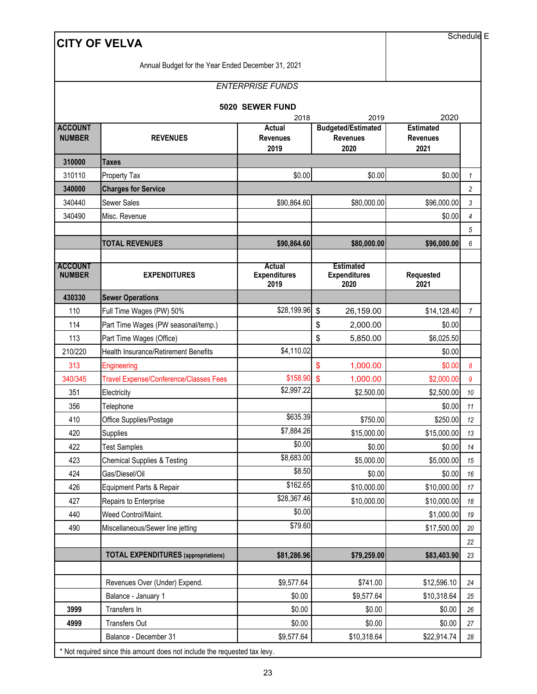|                                 | <b>CITY OF VELVA</b>                          |                                       |                                                      |                                             | Schedule E   |
|---------------------------------|-----------------------------------------------|---------------------------------------|------------------------------------------------------|---------------------------------------------|--------------|
|                                 |                                               |                                       |                                                      |                                             |              |
|                                 |                                               | <b>ENTERPRISE FUNDS</b>               |                                                      |                                             |              |
|                                 |                                               | 5020 SEWER FUND<br>2018               | 2019                                                 | 2020                                        |              |
| <b>ACCOUNT</b><br><b>NUMBER</b> | <b>REVENUES</b>                               | Actual<br><b>Revenues</b><br>2019     | <b>Budgeted/Estimated</b><br><b>Revenues</b><br>2020 | <b>Estimated</b><br><b>Revenues</b><br>2021 |              |
| 310000                          | <b>Taxes</b>                                  |                                       |                                                      |                                             |              |
| 310110                          | Property Tax                                  | \$0.00                                | \$0.00                                               | \$0.00                                      | $\mathbf{1}$ |
| 340000                          | <b>Charges for Service</b>                    |                                       |                                                      |                                             | 2            |
| 340440                          | Sewer Sales                                   | \$90,864.60                           | \$80,000.00                                          | \$96,000.00                                 | 3            |
| 340490                          | Misc. Revenue                                 |                                       |                                                      | \$0.00                                      | 4            |
|                                 |                                               |                                       |                                                      |                                             | 5            |
|                                 | <b>TOTAL REVENUES</b>                         | \$90,864.60                           | \$80,000.00                                          | \$96,000.00                                 | 6            |
| <b>ACCOUNT</b><br><b>NUMBER</b> | <b>EXPENDITURES</b>                           | Actual<br><b>Expenditures</b><br>2019 | <b>Estimated</b><br><b>Expenditures</b><br>2020      | Requested<br>2021                           |              |
| 430330                          | <b>Sewer Operations</b>                       |                                       |                                                      |                                             |              |
| 110                             | Full Time Wages (PW) 50%                      | \$28,199.96                           | \$<br>26,159.00                                      | \$14,128.40                                 | 7            |
| 114                             | Part Time Wages (PW seasonal/temp.)           |                                       | \$<br>2,000.00                                       | \$0.00                                      |              |
| 113                             | Part Time Wages (Office)                      |                                       | \$<br>5,850.00                                       | \$6,025.50                                  |              |
| 210/220                         | <b>Health Insurance/Retirement Benefits</b>   | \$4,110.02                            |                                                      | \$0.00                                      |              |
| 313                             | Engineering                                   |                                       | \$<br>1,000.00                                       | \$0.00                                      | 8            |
| 340/345                         | <b>Travel Expense/Conference/Classes Fees</b> | \$158.90                              | $\mathsf{\$}$<br>1,000.00                            | \$2,000.00                                  | 9            |
| 351                             | Electricity                                   | \$2,997.22                            | \$2,500.00                                           | \$2,500.00                                  | 10           |
| 356                             | Telephone                                     |                                       |                                                      | \$0.00                                      | 11           |
| 410                             | Office Supplies/Postage                       | \$635.39                              | \$750.00                                             | \$250.00                                    | 12           |
| 420                             | Supplies                                      | \$7,884.26                            | \$15,000.00                                          | \$15,000.00                                 | 13           |
| 422                             | <b>Test Samples</b>                           | \$0.00                                | \$0.00                                               | \$0.00                                      | 14           |
| 423                             | <b>Chemical Supplies &amp; Testing</b>        | \$8,683.00                            | \$5,000.00                                           | \$5,000.00                                  | 15           |
| 424                             | Gas/Diesel/Oil                                | \$8.50                                | \$0.00                                               | \$0.00                                      | 16           |
| 426                             | Equipment Parts & Repair                      | \$162.65                              | \$10,000.00                                          | \$10,000.00                                 | 17           |
| 427                             | Repairs to Enterprise                         | \$28,367.46                           | \$10,000.00                                          | \$10,000.00                                 | 18           |
| 440                             | Weed Control/Maint.                           | \$0.00                                |                                                      | \$1,000.00                                  | 19           |
| 490                             | Miscellaneous/Sewer line jetting              | \$79.60                               |                                                      | \$17,500.00                                 | 20           |
|                                 |                                               |                                       |                                                      |                                             | 22           |
|                                 | <b>TOTAL EXPENDITURES</b> (appropriations)    | \$81,286.96                           | \$79,259.00                                          | \$83,403.90                                 | 23           |
|                                 | Revenues Over (Under) Expend.                 | \$9,577.64                            | \$741.00                                             | \$12,596.10                                 | 24           |
|                                 | Balance - January 1                           | \$0.00                                | \$9,577.64                                           | \$10,318.64                                 | 25           |
| 3999                            | Transfers In                                  | \$0.00                                | \$0.00                                               | \$0.00                                      | 26           |
| 4999                            | Transfers Out                                 | \$0.00                                | \$0.00                                               | \$0.00                                      | 27           |
|                                 | Balance - December 31                         | \$9,577.64                            | \$10,318.64                                          | \$22,914.74                                 | 28           |

\* Not required since this amount does not include the requested tax levy.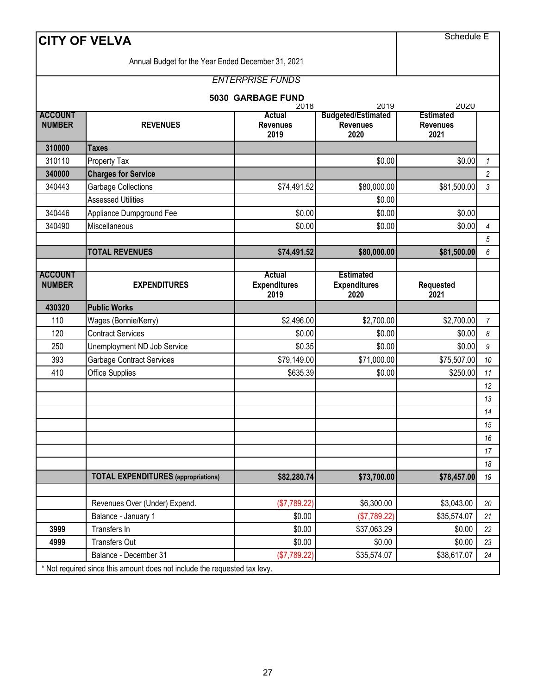|                                 | <b>CITY OF VELVA</b>                                                      |                                          |                                                      | <b>Schedule E</b>                           |                |
|---------------------------------|---------------------------------------------------------------------------|------------------------------------------|------------------------------------------------------|---------------------------------------------|----------------|
|                                 | Annual Budget for the Year Ended December 31, 2021                        |                                          |                                                      |                                             |                |
|                                 |                                                                           | <b>ENTERPRISE FUNDS</b>                  |                                                      |                                             |                |
|                                 |                                                                           |                                          |                                                      |                                             |                |
| <b>ACCOUNT</b>                  |                                                                           | 5030 GARBAGE FUND<br>2018                | 2019                                                 | 2020                                        |                |
| <b>NUMBER</b>                   | <b>REVENUES</b>                                                           | <b>Actual</b><br><b>Revenues</b><br>2019 | <b>Budgeted/Estimated</b><br><b>Revenues</b><br>2020 | <b>Estimated</b><br><b>Revenues</b><br>2021 |                |
| 310000                          | <b>Taxes</b>                                                              |                                          |                                                      |                                             |                |
| 310110                          | <b>Property Tax</b>                                                       |                                          | \$0.00                                               | \$0.00                                      | $\mathcal I$   |
| 340000                          | <b>Charges for Service</b>                                                |                                          |                                                      |                                             | $\overline{c}$ |
| 340443                          | <b>Garbage Collections</b>                                                | \$74,491.52                              | \$80,000.00                                          | \$81,500.00                                 | 3              |
|                                 | <b>Assessed Utilities</b>                                                 |                                          | \$0.00                                               |                                             |                |
| 340446                          | Appliance Dumpground Fee                                                  | \$0.00                                   | \$0.00                                               | \$0.00                                      |                |
| 340490                          | Miscellaneous                                                             | \$0.00                                   | \$0.00                                               | \$0.00                                      | 4              |
|                                 |                                                                           |                                          |                                                      |                                             | 5              |
|                                 | <b>TOTAL REVENUES</b>                                                     | \$74,491.52                              | \$80,000.00                                          | \$81,500.00                                 | 6              |
|                                 |                                                                           |                                          |                                                      |                                             |                |
| <b>ACCOUNT</b><br><b>NUMBER</b> | <b>EXPENDITURES</b>                                                       | Actual<br><b>Expenditures</b><br>2019    | <b>Estimated</b><br><b>Expenditures</b><br>2020      | <b>Requested</b><br>2021                    |                |
| 430320                          | <b>Public Works</b>                                                       |                                          |                                                      |                                             |                |
| 110                             | Wages (Bonnie/Kerry)                                                      | \$2,496.00                               | \$2,700.00                                           | \$2,700.00                                  | $\overline{7}$ |
| 120                             | <b>Contract Services</b>                                                  | \$0.00                                   | \$0.00                                               | \$0.00                                      | 8              |
| 250                             | Unemployment ND Job Service                                               | \$0.35                                   | \$0.00                                               | \$0.00                                      | 9              |
| 393                             | <b>Garbage Contract Services</b>                                          | \$79,149.00                              | \$71,000.00                                          | \$75,507.00                                 | 10             |
| 410                             | Office Supplies                                                           | \$635.39                                 | \$0.00                                               | \$250.00                                    | 11             |
|                                 |                                                                           |                                          |                                                      |                                             | 12             |
|                                 |                                                                           |                                          |                                                      |                                             | 13             |
|                                 |                                                                           |                                          |                                                      |                                             | 14             |
|                                 |                                                                           |                                          |                                                      |                                             | 15             |
|                                 |                                                                           |                                          |                                                      |                                             | 16             |
|                                 |                                                                           |                                          |                                                      |                                             | 17             |
|                                 |                                                                           |                                          |                                                      |                                             | 18             |
|                                 | <b>TOTAL EXPENDITURES</b> (appropriations)                                | \$82,280.74                              | \$73,700.00                                          | \$78,457.00                                 | 19             |
|                                 | Revenues Over (Under) Expend.                                             | (\$7,789.22)                             | \$6,300.00                                           | \$3,043.00                                  | 20             |
|                                 | Balance - January 1                                                       | \$0.00                                   | (\$7,789.22)                                         | \$35,574.07                                 | 21             |
| 3999                            | Transfers In                                                              | \$0.00                                   | \$37,063.29                                          | \$0.00                                      | 22             |
| 4999                            | <b>Transfers Out</b>                                                      | \$0.00                                   | \$0.00                                               | \$0.00                                      | 23             |
|                                 | Balance - December 31                                                     | (\$7,789.22)                             | \$35,574.07                                          | \$38,617.07                                 | 24             |
|                                 | * Not required since this amount does not include the requested tax levy. |                                          |                                                      |                                             |                |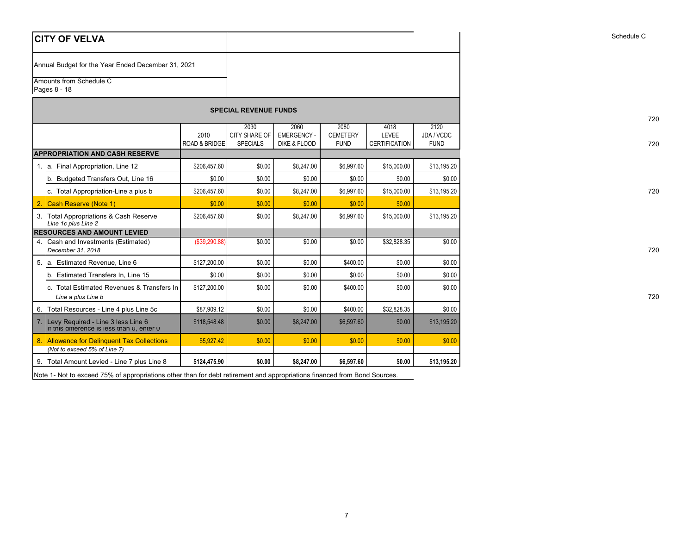|                  | <b>CITY OF VELVA</b>                                                             |                                  |                                          |                                           |                                        |                                       |                                   | Schedule C |
|------------------|----------------------------------------------------------------------------------|----------------------------------|------------------------------------------|-------------------------------------------|----------------------------------------|---------------------------------------|-----------------------------------|------------|
|                  | Annual Budget for the Year Ended December 31, 2021                               |                                  |                                          |                                           |                                        |                                       |                                   |            |
|                  | Amounts from Schedule C<br>Pages 8 - 18                                          |                                  |                                          |                                           |                                        |                                       |                                   |            |
|                  |                                                                                  |                                  | <b>SPECIAL REVENUE FUNDS</b>             |                                           |                                        |                                       |                                   |            |
|                  |                                                                                  | 2010<br><b>ROAD &amp; BRIDGE</b> | 2030<br>CITY SHARE OF<br><b>SPECIALS</b> | 2060<br><b>EMERGENCY-</b><br>DIKE & FLOOD | 2080<br><b>CEMETERY</b><br><b>FUND</b> | 4018<br>LEVEE<br><b>CERTIFICATION</b> | 2120<br>JDA / VCDC<br><b>FUND</b> |            |
|                  | <b>APPROPRIATION AND CASH RESERVE</b>                                            |                                  |                                          |                                           |                                        |                                       |                                   |            |
|                  | 1. a. Final Appropriation, Line 12                                               | \$206,457.60                     | \$0.00                                   | \$8,247.00                                | \$6,997.60                             | \$15,000.00                           | \$13,195.20                       |            |
|                  | b. Budgeted Transfers Out, Line 16                                               | \$0.00                           | \$0.00                                   | \$0.00                                    | \$0.00                                 | \$0.00                                | \$0.00                            |            |
|                  | c. Total Appropriation-Line a plus b                                             | \$206,457.60                     | \$0.00                                   | \$8,247.00                                | \$6,997.60                             | \$15,000.00                           | \$13,195.20                       |            |
| 2.               | Cash Reserve (Note 1)                                                            | \$0.00                           | \$0.00                                   | \$0.00                                    | \$0.00                                 | \$0.00                                |                                   |            |
|                  | 3. Total Appropriations & Cash Reserve<br>Line 1c plus Line 2                    | \$206,457.60                     | \$0.00                                   | \$8,247.00                                | \$6,997.60                             | \$15,000.00                           | \$13,195.20                       |            |
|                  | <b>RESOURCES AND AMOUNT LEVIED</b>                                               |                                  |                                          |                                           |                                        |                                       |                                   |            |
|                  | 4. Cash and Investments (Estimated)<br>December 31, 2018                         | (\$39,290.88)                    | \$0.00                                   | \$0.00                                    | \$0.00                                 | \$32,828.35                           | \$0.00                            |            |
|                  | 5. a. Estimated Revenue, Line 6                                                  | \$127,200.00                     | \$0.00                                   | \$0.00                                    | \$400.00                               | \$0.00                                | \$0.00                            |            |
|                  | Estimated Transfers In, Line 15<br>b.                                            | \$0.00                           | \$0.00                                   | \$0.00                                    | \$0.00                                 | \$0.00                                | \$0.00                            |            |
|                  | c. Total Estimated Revenues & Transfers In<br>Line a plus Line b                 | \$127,200.00                     | \$0.00                                   | \$0.00                                    | \$400.00                               | \$0.00                                | \$0.00                            |            |
| 6.               | Total Resources - Line 4 plus Line 5c                                            | \$87,909.12                      | \$0.00                                   | \$0.00                                    | \$400.00                               | \$32,828.35                           | \$0.00                            |            |
| $\overline{7}$ . | Levy Required - Line 3 less Line 6<br>It this difference is less than 0, enter 0 | \$118,548.48                     | \$0.00                                   | \$8,247.00                                | \$6,597.60                             | \$0.00                                | \$13,195.20                       |            |
| 8.               | <b>Allowance for Delinquent Tax Collections</b><br>(Not to exceed 5% of Line 7)  | \$5,927.42                       | \$0.00                                   | \$0.00                                    | \$0.00                                 | \$0.00                                | \$0.00                            |            |
| 9.               | Total Amount Levied - Line 7 plus Line 8                                         | \$124,475.90                     | \$0.00                                   | \$8,247.00                                | \$6,597.60                             | \$0.00                                | \$13,195.20                       |            |

720

Note 1- Not to exceed 75% of appropriations other than for debt retirement and appropriations financed from Bond Sources.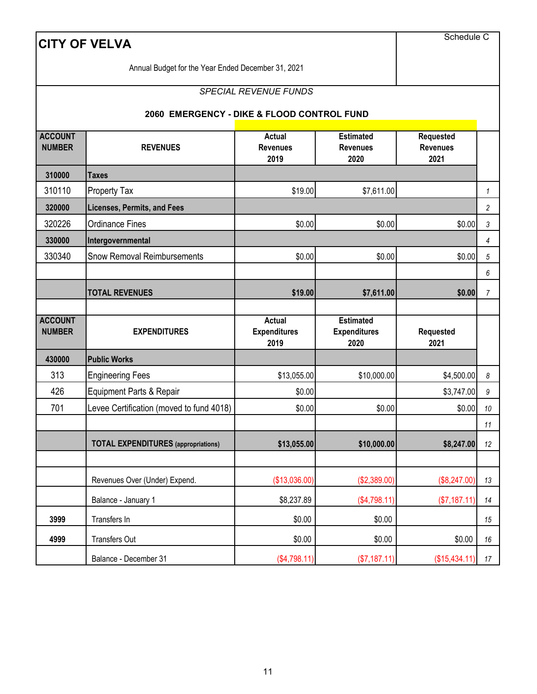|                                 | <b>CITY OF VELVA</b>                               |                                              |                                                 | Schedule C                                  |                |
|---------------------------------|----------------------------------------------------|----------------------------------------------|-------------------------------------------------|---------------------------------------------|----------------|
|                                 | Annual Budget for the Year Ended December 31, 2021 |                                              |                                                 |                                             |                |
|                                 |                                                    | <b>SPECIAL REVENUE FUNDS</b>                 |                                                 |                                             |                |
|                                 | 2060 EMERGENCY - DIKE & FLOOD CONTROL FUND         |                                              |                                                 |                                             |                |
| <b>ACCOUNT</b><br><b>NUMBER</b> | <b>REVENUES</b>                                    | <b>Actual</b><br><b>Revenues</b><br>2019     | <b>Estimated</b><br><b>Revenues</b><br>2020     | <b>Requested</b><br><b>Revenues</b><br>2021 |                |
| 310000                          | <b>Taxes</b>                                       |                                              |                                                 |                                             |                |
| 310110                          | Property Tax                                       | \$19.00                                      | \$7,611.00                                      |                                             | 1              |
| 320000                          | <b>Licenses, Permits, and Fees</b>                 |                                              |                                                 |                                             | $\overline{c}$ |
| 320226                          | <b>Ordinance Fines</b>                             | \$0.00                                       | \$0.00                                          | \$0.00                                      | 3              |
| 330000                          | Intergovernmental                                  |                                              |                                                 |                                             | $\overline{4}$ |
| 330340                          | <b>Snow Removal Reimbursements</b>                 | \$0.00                                       | \$0.00                                          | \$0.00                                      | 5              |
|                                 |                                                    |                                              |                                                 |                                             | 6              |
|                                 | <b>TOTAL REVENUES</b>                              | \$19.00                                      | \$7,611.00                                      | \$0.00                                      | $\overline{7}$ |
| <b>ACCOUNT</b><br><b>NUMBER</b> | <b>EXPENDITURES</b>                                | <b>Actual</b><br><b>Expenditures</b><br>2019 | <b>Estimated</b><br><b>Expenditures</b><br>2020 | Requested<br>2021                           |                |
| 430000                          | <b>Public Works</b>                                |                                              |                                                 |                                             |                |
| 313                             | Engineering Fees                                   | \$13,055.00                                  | \$10,000.00                                     | \$4,500.00                                  | 8              |
| 426                             | Equipment Parts & Repair                           | \$0.00                                       |                                                 | \$3,747.00                                  | 9              |
| 701                             | Levee Certification (moved to fund 4018)           | \$0.00                                       | \$0.00                                          | \$0.00                                      | 10             |
|                                 |                                                    |                                              |                                                 |                                             | $11$           |
|                                 | <b>TOTAL EXPENDITURES</b> (appropriations)         | \$13,055.00                                  | \$10,000.00                                     | \$8,247.00                                  | 12             |
|                                 | Revenues Over (Under) Expend.                      |                                              |                                                 |                                             |                |
|                                 | Balance - January 1                                | (\$13,036.00)<br>\$8,237.89                  | (\$2,389.00)<br>(\$4,798.11)                    | (\$8,247.00)<br>(\$7,187.11)                | 13<br>14       |
| 3999                            |                                                    |                                              |                                                 |                                             |                |
|                                 |                                                    |                                              |                                                 |                                             |                |
| 4999                            | Transfers In<br>Transfers Out                      | \$0.00<br>\$0.00                             | \$0.00<br>\$0.00                                | \$0.00                                      | 15<br>16       |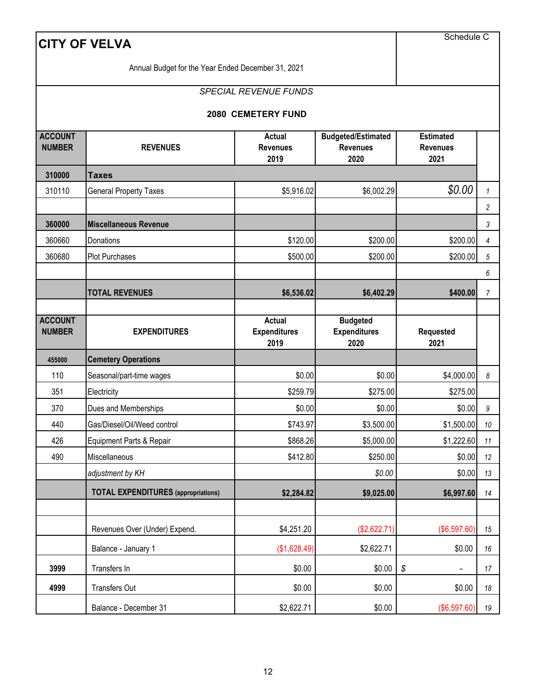| <b>CITY OF VELVA</b>            | Schedule C                                         |                                          |                                                      |                                             |                  |
|---------------------------------|----------------------------------------------------|------------------------------------------|------------------------------------------------------|---------------------------------------------|------------------|
|                                 | Annual Budget for the Year Ended December 31, 2021 |                                          |                                                      |                                             |                  |
|                                 |                                                    | <b>SPECIAL REVENUE FUNDS</b>             |                                                      |                                             |                  |
|                                 |                                                    |                                          |                                                      |                                             |                  |
|                                 |                                                    | 2080 CEMETERY FUND                       |                                                      |                                             |                  |
| <b>ACCOUNT</b><br><b>NUMBER</b> | <b>REVENUES</b>                                    | <b>Actual</b><br><b>Revenues</b><br>2019 | <b>Budgeted/Estimated</b><br><b>Revenues</b><br>2020 | <b>Estimated</b><br><b>Revenues</b><br>2021 |                  |
| 310000                          | <b>Taxes</b>                                       |                                          |                                                      |                                             |                  |
| 310110                          | <b>General Property Taxes</b>                      | \$5,916.02                               | \$6,002.29                                           | \$0.00                                      | $\mathbf{1}$     |
|                                 |                                                    |                                          |                                                      |                                             | 2                |
| 360000                          | <b>Miscellaneous Revenue</b>                       |                                          |                                                      |                                             | 3                |
| 360660                          | Donations                                          | \$120.00                                 | \$200.00                                             | \$200.00                                    | 4                |
| 360680                          | Plot Purchases                                     | \$500.00                                 | \$200.00                                             | \$200.00                                    | 5                |
|                                 |                                                    |                                          |                                                      |                                             | 6                |
|                                 | <b>TOTAL REVENUES</b>                              | \$6,536.02                               | \$6,402.29                                           | \$400.00                                    | $\overline{7}$   |
| <b>ACCOUNT</b>                  |                                                    | <b>Actual</b>                            | <b>Budgeted</b>                                      |                                             |                  |
| <b>NUMBER</b>                   | <b>EXPENDITURES</b>                                | <b>Expenditures</b><br>2019              | <b>Expenditures</b><br>2020                          | <b>Requested</b><br>2021                    |                  |
| 455000                          | <b>Cemetery Operations</b>                         |                                          |                                                      |                                             |                  |
| 110                             | Seasonal/part-time wages                           | \$0.00                                   | \$0.00                                               | \$4,000.00                                  | 8                |
| 351                             | Electricity                                        | \$259.79                                 | \$275.00                                             | \$275.00                                    |                  |
| 370                             | Dues and Memberships                               | \$0.00                                   | \$0.00                                               | \$0.00                                      | $\boldsymbol{9}$ |
| 440                             | Gas/Diesel/Oil/Weed control                        | \$743.97                                 | \$3,500.00                                           | \$1,500.00                                  | 10               |
| 426                             | Equipment Parts & Repair                           | \$868.26                                 | \$5,000.00                                           | \$1,222.60                                  | 11               |
| 490                             | Miscellaneous                                      | \$412.80                                 | \$250.00                                             | \$0.00                                      | 12               |
|                                 | adjustment by KH                                   |                                          | \$0.00                                               | \$0.00                                      | 13               |
|                                 | <b>TOTAL EXPENDITURES</b> (appropriations)         | \$2,284.82                               | \$9,025.00                                           | \$6,997.60                                  | 14               |
|                                 |                                                    |                                          |                                                      |                                             |                  |
|                                 | Revenues Over (Under) Expend.                      | \$4,251.20                               | (\$2,622.71)                                         | (\$6,597.60)                                | 15               |
|                                 | Balance - January 1                                | (\$1,628.49)                             | \$2,622.71                                           | \$0.00                                      | 16               |
| 3999                            | Transfers In                                       | \$0.00                                   | \$0.00                                               | ${\mathcal S}$                              | 17               |
| 4999                            | Transfers Out                                      | \$0.00                                   | \$0.00                                               | \$0.00                                      | 18               |
|                                 | Balance - December 31                              | \$2,622.71                               | \$0.00                                               | (\$6,597.60)                                | 19               |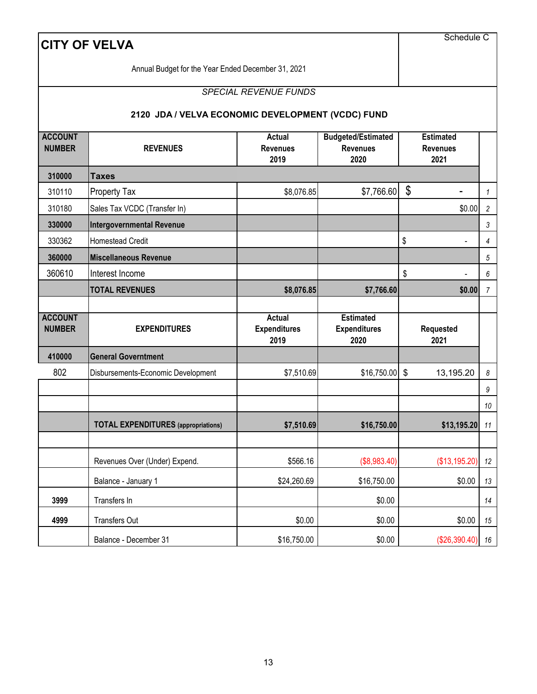|                                 | <b>CITY OF VELVA</b>                               |                                          |                                                      | Schedule C                                  |                |
|---------------------------------|----------------------------------------------------|------------------------------------------|------------------------------------------------------|---------------------------------------------|----------------|
|                                 | Annual Budget for the Year Ended December 31, 2021 |                                          |                                                      |                                             |                |
|                                 |                                                    | <b>SPECIAL REVENUE FUNDS</b>             |                                                      |                                             |                |
|                                 | 2120 JDA / VELVA ECONOMIC DEVELOPMENT (VCDC) FUND  |                                          |                                                      |                                             |                |
| <b>ACCOUNT</b><br><b>NUMBER</b> | <b>REVENUES</b>                                    | <b>Actual</b><br><b>Revenues</b><br>2019 | <b>Budgeted/Estimated</b><br><b>Revenues</b><br>2020 | <b>Estimated</b><br><b>Revenues</b><br>2021 |                |
| 310000                          | <b>Taxes</b>                                       |                                          |                                                      |                                             |                |
| 310110                          | Property Tax                                       | \$8,076.85                               | \$7,766.60                                           | \$                                          | $\mathbf{1}$   |
| 310180                          | Sales Tax VCDC (Transfer In)                       |                                          |                                                      | \$0.00                                      | $\overline{c}$ |
| 330000                          | <b>Intergovernmental Revenue</b>                   |                                          |                                                      |                                             | 3              |
| 330362                          | <b>Homestead Credit</b>                            |                                          |                                                      | \$                                          | 4              |
| 360000                          | <b>Miscellaneous Revenue</b>                       |                                          |                                                      |                                             | 5              |
| 360610                          | Interest Income                                    |                                          |                                                      | \$                                          | 6              |
|                                 | <b>TOTAL REVENUES</b>                              | \$8,076.85                               | \$7,766.60                                           | \$0.00                                      | $\overline{7}$ |
| <b>ACCOUNT</b>                  |                                                    | <b>Actual</b>                            | <b>Estimated</b>                                     |                                             |                |
| <b>NUMBER</b>                   | <b>EXPENDITURES</b>                                | <b>Expenditures</b><br>2019              | <b>Expenditures</b><br>2020                          | Requested<br>2021                           |                |
| 410000                          | <b>General Governtment</b>                         |                                          |                                                      |                                             |                |
| 802                             | Disbursements-Economic Development                 | \$7,510.69                               | $$16,750.00$ \$                                      | 13,195.20                                   | 8              |
|                                 |                                                    |                                          |                                                      |                                             | 9              |
|                                 |                                                    |                                          |                                                      |                                             | $10\,$         |
|                                 | <b>TOTAL EXPENDITURES</b> (appropriations)         | \$7,510.69                               | \$16,750.00                                          | \$13,195.20                                 | 11             |
|                                 |                                                    |                                          |                                                      |                                             |                |
|                                 | Revenues Over (Under) Expend.                      | \$566.16                                 | (\$8,983.40)                                         | (\$13,195.20)                               | 12             |
|                                 | Balance - January 1                                | \$24,260.69                              | \$16,750.00                                          | \$0.00                                      | 13             |
| 3999                            | Transfers In                                       |                                          | \$0.00                                               |                                             | 14             |
| 4999                            | Transfers Out                                      | \$0.00                                   | \$0.00                                               | \$0.00                                      | 15             |
|                                 | Balance - December 31                              | \$16,750.00                              | \$0.00                                               | $($26,390.40)$ 16                           |                |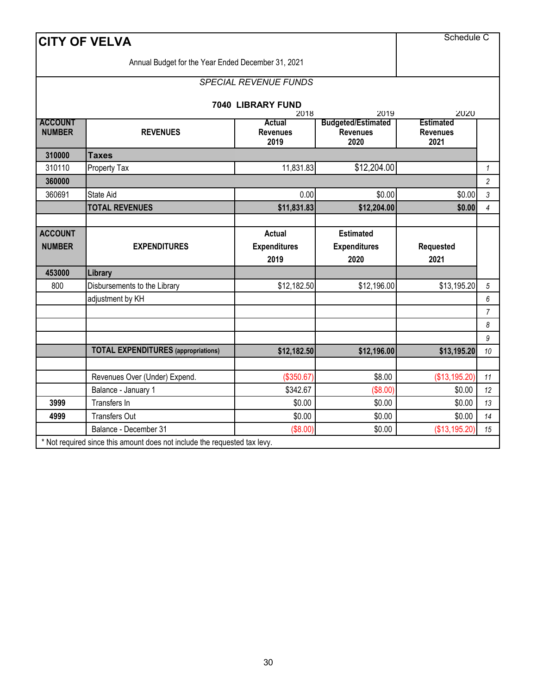|                                 | <b>CITY OF VELVA</b>                               |                                              |                                                      | Schedule C                                  |                |
|---------------------------------|----------------------------------------------------|----------------------------------------------|------------------------------------------------------|---------------------------------------------|----------------|
|                                 | Annual Budget for the Year Ended December 31, 2021 |                                              |                                                      |                                             |                |
|                                 |                                                    | <b>SPECIAL REVENUE FUNDS</b>                 |                                                      |                                             |                |
|                                 |                                                    | 7040 LIBRARY FUND<br>2018                    | 2019                                                 | 2020                                        |                |
| <b>ACCOUNT</b><br><b>NUMBER</b> | <b>REVENUES</b>                                    | Actual<br><b>Revenues</b><br>2019            | <b>Budgeted/Estimated</b><br><b>Revenues</b><br>2020 | <b>Estimated</b><br><b>Revenues</b><br>2021 |                |
| 310000                          | <b>Taxes</b>                                       |                                              |                                                      |                                             |                |
| 310110                          | Property Tax                                       | 11,831.83                                    | \$12,204.00                                          |                                             | $\mathbf{1}$   |
| 360000                          |                                                    |                                              |                                                      |                                             | $\overline{c}$ |
| 360691                          | State Aid                                          | 0.00                                         | \$0.00                                               | \$0.00                                      | 3              |
|                                 | <b>TOTAL REVENUES</b>                              | \$11,831.83                                  | \$12,204.00                                          | \$0.00                                      | $\overline{4}$ |
|                                 |                                                    |                                              |                                                      |                                             |                |
| <b>ACCOUNT</b><br><b>NUMBER</b> | <b>EXPENDITURES</b>                                | <b>Actual</b><br><b>Expenditures</b><br>2019 | <b>Estimated</b><br><b>Expenditures</b><br>2020      | Requested<br>2021                           |                |
| 453000                          | Library                                            |                                              |                                                      |                                             |                |
| 800                             | Disbursements to the Library                       | \$12,182.50                                  | \$12,196.00                                          | \$13,195.20                                 | 5              |
|                                 | adjustment by KH                                   |                                              |                                                      |                                             | 6              |
|                                 |                                                    |                                              |                                                      |                                             | $\overline{7}$ |
|                                 |                                                    |                                              |                                                      |                                             | 8              |
|                                 |                                                    |                                              |                                                      |                                             | 9              |
|                                 | <b>TOTAL EXPENDITURES</b> (appropriations)         | \$12,182.50                                  | \$12,196.00                                          | \$13,195.20                                 | 10             |
|                                 |                                                    |                                              |                                                      |                                             |                |
|                                 | Revenues Over (Under) Expend.                      | (\$350.67)                                   | \$8.00                                               | (\$13,195.20)                               | 11             |
|                                 | Balance - January 1                                | \$342.67                                     | (\$8.00)                                             | \$0.00                                      | 12             |
| 3999                            | Transfers In                                       | \$0.00                                       | \$0.00                                               | \$0.00                                      | 13             |
| 4999                            | <b>Transfers Out</b>                               | \$0.00                                       | \$0.00                                               | \$0.00                                      | 14             |
|                                 |                                                    |                                              |                                                      |                                             |                |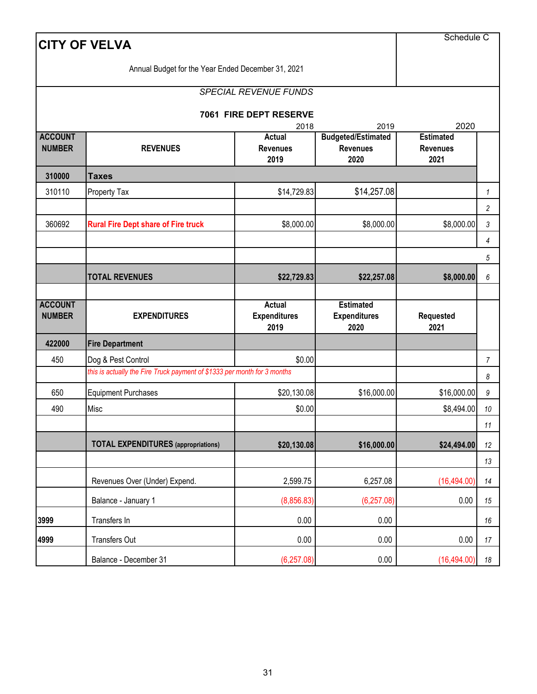|                                 | <b>CITY OF VELVA</b>                                                     |                                          |                                                      | Schedule C                                  |                |
|---------------------------------|--------------------------------------------------------------------------|------------------------------------------|------------------------------------------------------|---------------------------------------------|----------------|
|                                 | Annual Budget for the Year Ended December 31, 2021                       |                                          |                                                      |                                             |                |
|                                 |                                                                          | <b>SPECIAL REVENUE FUNDS</b>             |                                                      |                                             |                |
|                                 |                                                                          |                                          |                                                      |                                             |                |
|                                 |                                                                          | 7061 FIRE DEPT RESERVE<br>2018           | 2019                                                 | 2020                                        |                |
| <b>ACCOUNT</b><br><b>NUMBER</b> | <b>REVENUES</b>                                                          | <b>Actual</b><br><b>Revenues</b><br>2019 | <b>Budgeted/Estimated</b><br><b>Revenues</b><br>2020 | <b>Estimated</b><br><b>Revenues</b><br>2021 |                |
| 310000                          | <b>Taxes</b>                                                             |                                          |                                                      |                                             |                |
| 310110                          | Property Tax                                                             | \$14,729.83                              | \$14,257.08                                          |                                             | $\mathcal{I}$  |
|                                 |                                                                          |                                          |                                                      |                                             | $\overline{c}$ |
| 360692                          | <b>Rural Fire Dept share of Fire truck</b>                               | \$8,000.00                               | \$8,000.00                                           | \$8,000.00                                  | 3              |
|                                 |                                                                          |                                          |                                                      |                                             | 4              |
|                                 |                                                                          |                                          |                                                      |                                             | 5              |
|                                 | <b>TOTAL REVENUES</b>                                                    | \$22,729.83                              | \$22,257.08                                          | \$8,000.00                                  | 6              |
| <b>ACCOUNT</b><br><b>NUMBER</b> | <b>EXPENDITURES</b>                                                      | Actual<br><b>Expenditures</b><br>2019    | <b>Estimated</b><br><b>Expenditures</b><br>2020      | Requested<br>2021                           |                |
| 422000                          | <b>Fire Department</b>                                                   |                                          |                                                      |                                             |                |
| 450                             | Dog & Pest Control                                                       | \$0.00                                   |                                                      |                                             | $\overline{7}$ |
|                                 | this is actually the Fire Truck payment of \$1333 per month for 3 months |                                          |                                                      |                                             | 8              |
| 650                             | <b>Equipment Purchases</b>                                               | \$20,130.08                              | \$16,000.00                                          | \$16,000.00                                 | 9              |
| 490                             | Misc                                                                     | \$0.00                                   |                                                      | \$8,494.00                                  | $10$           |
|                                 |                                                                          |                                          |                                                      |                                             | 11             |
|                                 | <b>TOTAL EXPENDITURES</b> (appropriations)                               | \$20,130.08                              | \$16,000.00                                          | \$24,494.00                                 | 12             |
|                                 |                                                                          |                                          |                                                      |                                             | 13             |
|                                 | Revenues Over (Under) Expend.                                            | 2,599.75                                 | 6,257.08                                             | (16, 494.00)                                | 14             |
|                                 | Balance - January 1                                                      | (8,856.83)                               | (6, 257.08)                                          | 0.00                                        | 15             |
| 3999                            | Transfers In                                                             | 0.00                                     | 0.00                                                 |                                             | 16             |
| 4999                            | <b>Transfers Out</b>                                                     | 0.00                                     | 0.00                                                 | 0.00                                        | 17             |
|                                 | Balance - December 31                                                    | (6, 257.08)                              | 0.00                                                 | (16, 494.00)                                | 18             |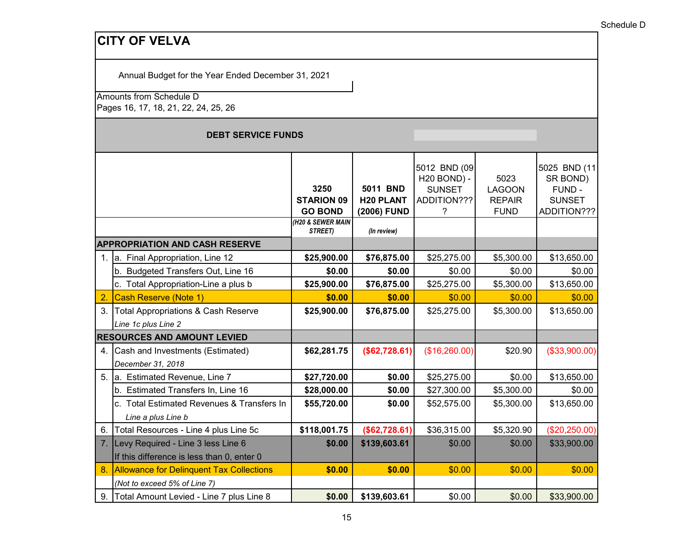Annual Budget for the Year Ended December 31, 2021

Amounts from Schedule D

Pages 16, 17, 18, 21, 22, 24, 25, 26

#### **DEBT SERVICE FUNDS**

|                |                                                 |                           |                              | 5012 BND (09                 |                                | 5025 BND (11            |
|----------------|-------------------------------------------------|---------------------------|------------------------------|------------------------------|--------------------------------|-------------------------|
|                |                                                 |                           |                              | H20 BOND) -                  | 5023                           | SR BOND)                |
|                |                                                 | 3250<br><b>STARION 09</b> | 5011 BND<br><b>H20 PLANT</b> | <b>SUNSET</b><br>ADDITION??? | <b>LAGOON</b><br><b>REPAIR</b> | FUND -<br><b>SUNSET</b> |
|                |                                                 | <b>GO BOND</b>            | (2006) FUND                  | ?                            | <b>FUND</b>                    | ADDITION???             |
|                |                                                 | (H20 & SEWER MAIN         |                              |                              |                                |                         |
|                |                                                 | STREET)                   | (In review)                  |                              |                                |                         |
|                | <b>APPROPRIATION AND CASH RESERVE</b>           |                           |                              |                              |                                |                         |
| 1.             | a. Final Appropriation, Line 12                 | \$25,900.00               | \$76,875.00                  | \$25,275.00                  | \$5,300.00                     | \$13,650.00             |
|                | b. Budgeted Transfers Out, Line 16              | \$0.00                    | \$0.00                       | \$0.00                       | \$0.00                         | \$0.00                  |
|                | c. Total Appropriation-Line a plus b            | \$25,900.00               | \$76,875.00                  | \$25,275.00                  | \$5,300.00                     | \$13,650.00             |
| $\overline{2}$ | Cash Reserve (Note 1)                           | \$0.00                    | \$0.00                       | \$0.00                       | \$0.00                         | \$0.00                  |
| 3.             | <b>Total Appropriations &amp; Cash Reserve</b>  | \$25,900.00               | \$76,875.00                  | \$25,275.00                  | \$5,300.00                     | \$13,650.00             |
|                | Line 1c plus Line 2                             |                           |                              |                              |                                |                         |
|                | <b>RESOURCES AND AMOUNT LEVIED</b>              |                           |                              |                              |                                |                         |
| 4.             | Cash and Investments (Estimated)                | \$62,281.75               | (\$62,728.61)                | (\$16,260.00)                | \$20.90                        | (\$33,900.00)           |
|                | December 31, 2018                               |                           |                              |                              |                                |                         |
| 5.             | a. Estimated Revenue, Line 7                    | \$27,720.00               | \$0.00                       | \$25,275.00                  | \$0.00                         | \$13,650.00             |
|                | b. Estimated Transfers In, Line 16              | \$28,000.00               | \$0.00                       | \$27,300.00                  | \$5,300.00                     | \$0.00                  |
|                | c. Total Estimated Revenues & Transfers In      | \$55,720.00               | \$0.00                       | \$52,575.00                  | \$5,300.00                     | \$13,650.00             |
|                | Line a plus Line b                              |                           |                              |                              |                                |                         |
| 6.             | Total Resources - Line 4 plus Line 5c           | \$118,001.75              | (\$62,728.61)                | \$36,315.00                  | \$5,320.90                     | (\$20,250.00)           |
| 7.             | Levy Required - Line 3 less Line 6              | \$0.00                    | \$139,603.61                 | \$0.00                       | \$0.00                         | \$33,900.00             |
|                | If this difference is less than 0, enter 0      |                           |                              |                              |                                |                         |
| 8              | <b>Allowance for Delinquent Tax Collections</b> | \$0.00                    | \$0.00                       | \$0.00                       | \$0.00                         | \$0.00                  |
|                | (Not to exceed 5% of Line 7)                    |                           |                              |                              |                                |                         |
|                | 9. Total Amount Levied - Line 7 plus Line 8     | \$0.00                    | \$139,603.61                 | \$0.00                       | \$0.00                         | \$33,900.00             |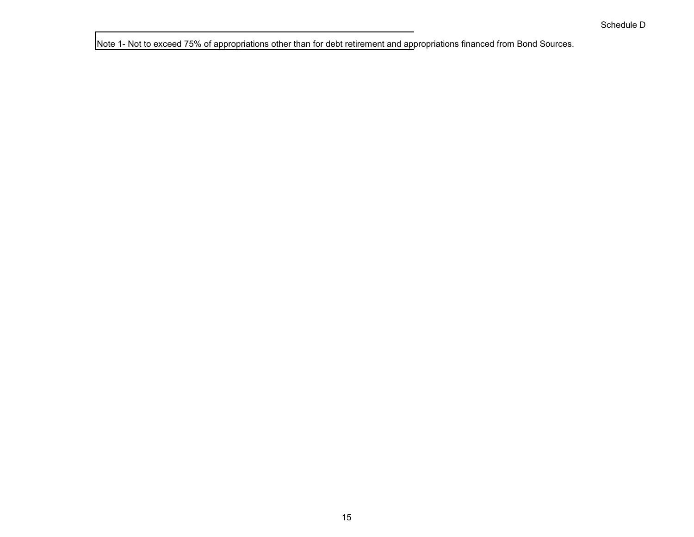Note 1- Not to exceed 75% of appropriations other than for debt retirement and appropriations financed from Bond Sources.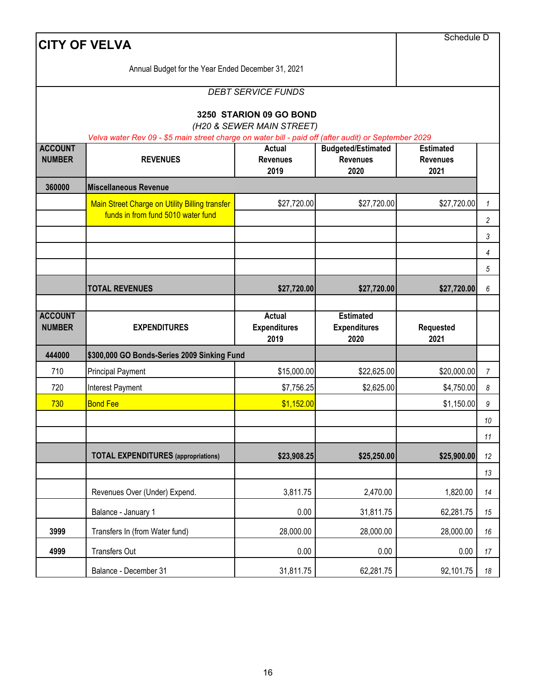|                                 | <b>CITY OF VELVA</b>                                                                                 |                                                      |                                                      | Schedule D                                  |                |
|---------------------------------|------------------------------------------------------------------------------------------------------|------------------------------------------------------|------------------------------------------------------|---------------------------------------------|----------------|
|                                 | Annual Budget for the Year Ended December 31, 2021                                                   |                                                      |                                                      |                                             |                |
|                                 |                                                                                                      | <b>DEBT SERVICE FUNDS</b>                            |                                                      |                                             |                |
|                                 |                                                                                                      |                                                      |                                                      |                                             |                |
|                                 | Velva water Rev 09 - \$5 main street charge on water bill - paid off (after audit) or September 2029 | 3250 STARION 09 GO BOND<br>(H20 & SEWER MAIN STREET) |                                                      |                                             |                |
| <b>ACCOUNT</b><br><b>NUMBER</b> | <b>REVENUES</b>                                                                                      | <b>Actual</b><br><b>Revenues</b><br>2019             | <b>Budgeted/Estimated</b><br><b>Revenues</b><br>2020 | <b>Estimated</b><br><b>Revenues</b><br>2021 |                |
| 360000                          | <b>Miscellaneous Revenue</b>                                                                         |                                                      |                                                      |                                             |                |
|                                 | Main Street Charge on Utility Billing transfer                                                       | \$27,720.00                                          | \$27,720.00                                          | \$27,720.00                                 | $\mathbf{1}$   |
|                                 | funds in from fund 5010 water fund                                                                   |                                                      |                                                      |                                             | 2              |
|                                 |                                                                                                      |                                                      |                                                      |                                             | 3              |
|                                 |                                                                                                      |                                                      |                                                      |                                             | 4              |
|                                 |                                                                                                      |                                                      |                                                      |                                             | 5              |
|                                 | <b>TOTAL REVENUES</b>                                                                                | \$27,720.00                                          | \$27,720.00                                          | \$27,720.00                                 | 6              |
| <b>ACCOUNT</b><br><b>NUMBER</b> | <b>EXPENDITURES</b>                                                                                  | Actual<br><b>Expenditures</b><br>2019                | <b>Estimated</b><br><b>Expenditures</b><br>2020      | Requested<br>2021                           |                |
| 444000                          | \$300,000 GO Bonds-Series 2009 Sinking Fund                                                          |                                                      |                                                      |                                             |                |
| 710                             | <b>Principal Payment</b>                                                                             | \$15,000.00                                          | \$22,625.00                                          | \$20,000.00                                 | $\overline{7}$ |
| 720                             | Interest Payment                                                                                     | \$7,756.25                                           | \$2,625.00                                           | \$4,750.00                                  | 8              |
| 730                             | <b>Bond Fee</b>                                                                                      | \$1,152.00                                           |                                                      | \$1,150.00                                  | 9              |
|                                 |                                                                                                      |                                                      |                                                      |                                             | $10\,$         |
|                                 |                                                                                                      |                                                      |                                                      |                                             | 11             |
|                                 | <b>TOTAL EXPENDITURES</b> (appropriations)                                                           | \$23,908.25                                          | \$25,250.00                                          | \$25,900.00                                 | 12             |
|                                 |                                                                                                      |                                                      |                                                      |                                             | 13             |
|                                 | Revenues Over (Under) Expend.                                                                        | 3,811.75                                             | 2,470.00                                             | 1,820.00                                    | 14             |
|                                 | Balance - January 1                                                                                  | 0.00                                                 | 31,811.75                                            | 62,281.75                                   | 15             |
| 3999                            | Transfers In (from Water fund)                                                                       | 28,000.00                                            | 28,000.00                                            | 28,000.00                                   | 16             |
| 4999                            | <b>Transfers Out</b>                                                                                 | 0.00                                                 | 0.00                                                 | 0.00                                        | 17             |
|                                 | Balance - December 31                                                                                | 31,811.75                                            | 62,281.75                                            | 92,101.75                                   | 18             |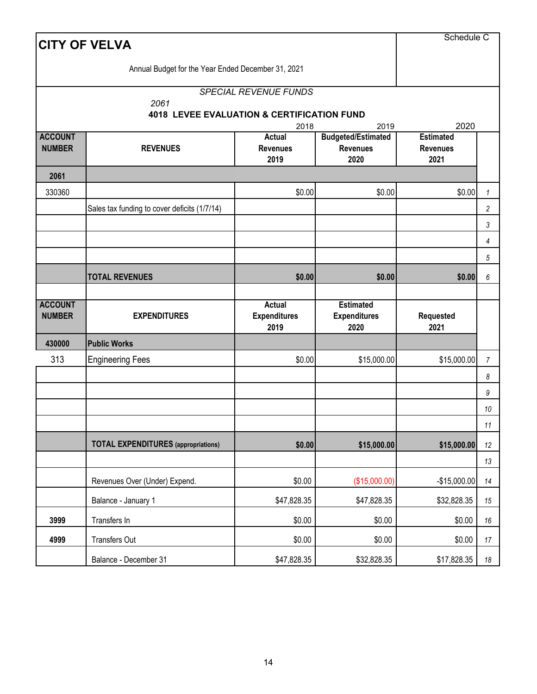| <b>CITY OF VELVA</b>            | Schedule C                                                    |                                              |                                                      |                                             |                         |
|---------------------------------|---------------------------------------------------------------|----------------------------------------------|------------------------------------------------------|---------------------------------------------|-------------------------|
|                                 | Annual Budget for the Year Ended December 31, 2021            |                                              |                                                      |                                             |                         |
|                                 | 2061<br><b>4018 LEVEE EVALUATION &amp; CERTIFICATION FUND</b> | <b>SPECIAL REVENUE FUNDS</b>                 |                                                      |                                             |                         |
|                                 |                                                               | 2018                                         | 2019                                                 | 2020                                        |                         |
| <b>ACCOUNT</b><br><b>NUMBER</b> | <b>REVENUES</b>                                               | Actual<br><b>Revenues</b><br>2019            | <b>Budgeted/Estimated</b><br><b>Revenues</b><br>2020 | <b>Estimated</b><br><b>Revenues</b><br>2021 |                         |
| 2061                            |                                                               |                                              |                                                      |                                             |                         |
| 330360                          |                                                               | \$0.00                                       | \$0.00                                               | \$0.00                                      | $\mathbf{1}$            |
|                                 | Sales tax funding to cover deficits (1/7/14)                  |                                              |                                                      |                                             | $\overline{\mathbf{c}}$ |
|                                 |                                                               |                                              |                                                      |                                             | 3                       |
|                                 |                                                               |                                              |                                                      |                                             | 4                       |
|                                 |                                                               |                                              |                                                      |                                             | 5                       |
|                                 | <b>TOTAL REVENUES</b>                                         | \$0.00                                       | \$0.00                                               | \$0.00                                      | 6                       |
| <b>ACCOUNT</b><br><b>NUMBER</b> | <b>EXPENDITURES</b>                                           | <b>Actual</b><br><b>Expenditures</b><br>2019 | <b>Estimated</b><br><b>Expenditures</b><br>2020      | Requested<br>2021                           |                         |
| 430000                          | <b>Public Works</b>                                           |                                              |                                                      |                                             |                         |
| 313                             | <b>Engineering Fees</b>                                       | \$0.00                                       | \$15,000.00                                          | \$15,000.00                                 | $\overline{7}$          |
|                                 |                                                               |                                              |                                                      |                                             | 8                       |
|                                 |                                                               |                                              |                                                      |                                             | 9                       |
|                                 |                                                               |                                              |                                                      |                                             | 10                      |
|                                 |                                                               |                                              |                                                      |                                             | $11$                    |
|                                 |                                                               |                                              |                                                      |                                             |                         |
|                                 | <b>TOTAL EXPENDITURES</b> (appropriations)                    | \$0.00                                       | \$15,000.00                                          | \$15,000.00                                 | 12                      |
|                                 |                                                               |                                              |                                                      |                                             | 13                      |
|                                 | Revenues Over (Under) Expend.                                 | \$0.00                                       | (\$15,000.00)                                        | $-$15,000.00$                               | 14                      |
|                                 | Balance - January 1                                           | \$47,828.35                                  | \$47,828.35                                          | \$32,828.35                                 | 15                      |
| 3999                            | Transfers In                                                  | \$0.00                                       | \$0.00                                               | \$0.00                                      | 16                      |
| 4999                            | Transfers Out                                                 | \$0.00                                       | \$0.00                                               | \$0.00                                      | 17                      |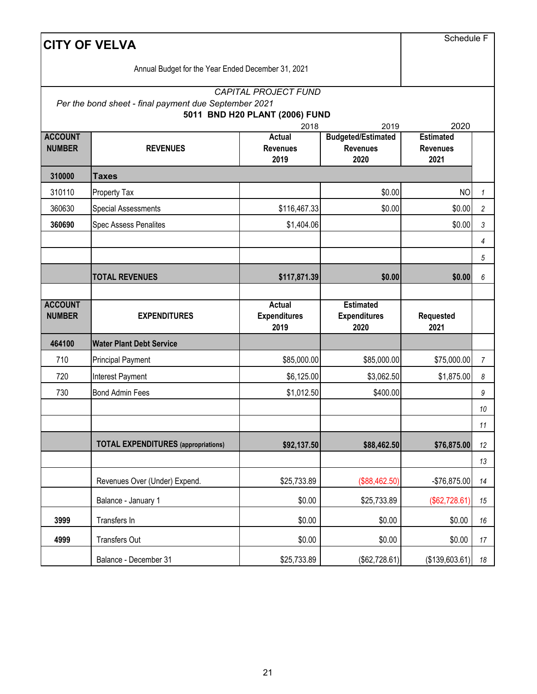|                                 | <b>CITY OF VELVA</b>                                  |                                                                       |                                                      |                                             |                |
|---------------------------------|-------------------------------------------------------|-----------------------------------------------------------------------|------------------------------------------------------|---------------------------------------------|----------------|
|                                 | Annual Budget for the Year Ended December 31, 2021    |                                                                       |                                                      |                                             |                |
|                                 | Per the bond sheet - final payment due September 2021 | <b>CAPITAL PROJECT FUND</b><br>5011 BND H20 PLANT (2006) FUND<br>2018 | 2019                                                 | 2020                                        |                |
| <b>ACCOUNT</b><br><b>NUMBER</b> | <b>REVENUES</b>                                       | Actual<br><b>Revenues</b><br>2019                                     | <b>Budgeted/Estimated</b><br><b>Revenues</b><br>2020 | <b>Estimated</b><br><b>Revenues</b><br>2021 |                |
| 310000                          | <b>Taxes</b>                                          |                                                                       |                                                      |                                             |                |
| 310110                          | Property Tax                                          |                                                                       | \$0.00                                               | <b>NO</b>                                   | $\mathbf{1}$   |
| 360630                          | <b>Special Assessments</b>                            | \$116,467.33                                                          | \$0.00                                               | \$0.00                                      | $\overline{c}$ |
| 360690                          | <b>Spec Assess Penalites</b>                          | \$1,404.06                                                            |                                                      | \$0.00                                      | 3              |
|                                 |                                                       |                                                                       |                                                      |                                             | 4              |
|                                 |                                                       |                                                                       |                                                      |                                             | 5              |
|                                 | <b>TOTAL REVENUES</b>                                 | \$117,871.39                                                          | \$0.00                                               | \$0.00                                      | 6              |
| <b>ACCOUNT</b><br><b>NUMBER</b> | <b>EXPENDITURES</b>                                   | Actual<br><b>Expenditures</b><br>2019                                 | <b>Estimated</b><br><b>Expenditures</b><br>2020      | Requested<br>2021                           |                |
| 464100                          | <b>Water Plant Debt Service</b>                       |                                                                       |                                                      |                                             |                |
| 710                             | <b>Principal Payment</b>                              | \$85,000.00                                                           | \$85,000.00                                          | \$75,000.00                                 | $\overline{7}$ |
| 720                             | Interest Payment                                      | \$6,125.00                                                            | \$3,062.50                                           | \$1,875.00                                  | 8              |
| 730                             | <b>Bond Admin Fees</b>                                | \$1,012.50                                                            | \$400.00                                             |                                             | 9              |
|                                 |                                                       |                                                                       |                                                      |                                             | 10             |
|                                 |                                                       |                                                                       |                                                      |                                             | $11$           |
|                                 | <b>TOTAL EXPENDITURES</b> (appropriations)            | \$92,137.50                                                           | \$88,462.50                                          | \$76,875.00                                 | 12             |
|                                 |                                                       |                                                                       |                                                      |                                             | 13             |
|                                 | Revenues Over (Under) Expend.                         | \$25,733.89                                                           | (\$88,462.50)                                        | -\$76,875.00                                | 14             |
|                                 | Balance - January 1                                   | \$0.00                                                                | \$25,733.89                                          | (\$62,728.61)                               | 15             |
| 3999                            | Transfers In                                          | \$0.00                                                                | \$0.00                                               | \$0.00                                      | 16             |
| 4999                            | Transfers Out                                         | \$0.00                                                                | \$0.00                                               | \$0.00                                      | 17             |
|                                 | Balance - December 31                                 | \$25,733.89                                                           | (\$62,728.61)                                        | (\$139,603.61)                              | 18             |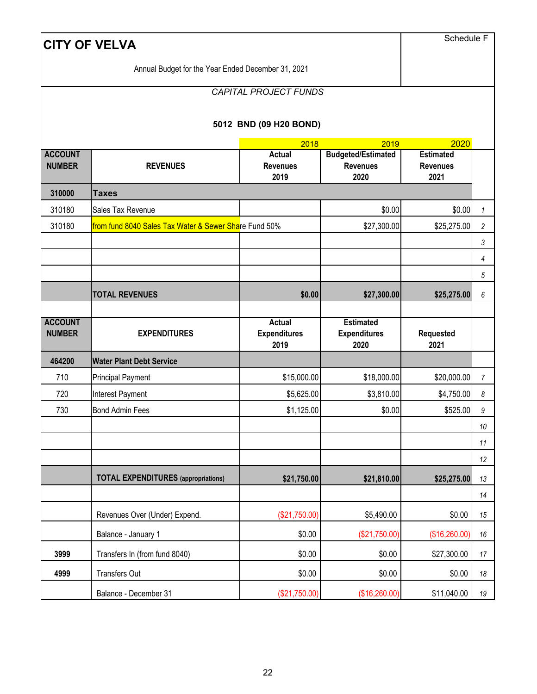|                                 | <b>CITY OF VELVA</b>                                  |                                       |                                                 | Schedule F        |                |
|---------------------------------|-------------------------------------------------------|---------------------------------------|-------------------------------------------------|-------------------|----------------|
|                                 | Annual Budget for the Year Ended December 31, 2021    |                                       |                                                 |                   |                |
|                                 |                                                       | CAPITAL PROJECT FUNDS                 |                                                 |                   |                |
|                                 |                                                       |                                       |                                                 |                   |                |
|                                 |                                                       | 5012 BND (09 H20 BOND)                |                                                 |                   |                |
| <b>ACCOUNT</b>                  |                                                       | 2020<br><b>Estimated</b>              |                                                 |                   |                |
| <b>NUMBER</b>                   | <b>REVENUES</b>                                       | Actual<br><b>Revenues</b>             | <b>Budgeted/Estimated</b><br><b>Revenues</b>    | <b>Revenues</b>   |                |
|                                 |                                                       | 2019                                  | 2020                                            | 2021              |                |
| 310000                          | <b>Taxes</b>                                          |                                       |                                                 |                   |                |
| 310180                          | Sales Tax Revenue                                     |                                       | \$0.00                                          | \$0.00            | 1              |
| 310180                          | from fund 8040 Sales Tax Water & Sewer Share Fund 50% |                                       | \$27,300.00                                     | \$25,275.00       | 2              |
|                                 |                                                       |                                       |                                                 |                   | 3              |
|                                 |                                                       |                                       |                                                 |                   | 4<br>5         |
|                                 |                                                       |                                       |                                                 |                   |                |
|                                 | <b>TOTAL REVENUES</b>                                 | \$0.00                                | \$27,300.00                                     | \$25,275.00       | 6              |
| <b>ACCOUNT</b><br><b>NUMBER</b> | <b>EXPENDITURES</b>                                   | Actual<br><b>Expenditures</b><br>2019 | <b>Estimated</b><br><b>Expenditures</b><br>2020 | Requested<br>2021 |                |
| 464200                          | <b>Water Plant Debt Service</b>                       |                                       |                                                 |                   |                |
| 710                             | <b>Principal Payment</b>                              | \$15,000.00                           | \$18,000.00                                     | \$20,000.00       | $\overline{7}$ |
| 720                             | Interest Payment                                      | \$5,625.00                            | \$3,810.00                                      | \$4,750.00        | 8              |
| 730                             | <b>Bond Admin Fees</b>                                | \$1,125.00                            | \$0.00                                          | \$525.00          | 9              |
|                                 |                                                       |                                       |                                                 |                   | 10             |
|                                 |                                                       |                                       |                                                 |                   | 11             |
|                                 |                                                       |                                       |                                                 |                   | 12             |
|                                 | <b>TOTAL EXPENDITURES</b> (appropriations)            | \$21,750.00                           | \$21,810.00                                     | \$25,275.00       | 13             |
|                                 |                                                       |                                       |                                                 |                   | 14             |
|                                 | Revenues Over (Under) Expend.                         | (\$21,750.00)                         | \$5,490.00                                      | \$0.00            | 15             |
|                                 | Balance - January 1                                   | \$0.00                                | (\$21,750.00)                                   | (\$16,260.00)     | 16             |
| 3999                            | Transfers In (from fund 8040)                         | \$0.00                                | \$0.00                                          | \$27,300.00       | 17             |
| 4999                            | Transfers Out                                         | \$0.00                                | \$0.00                                          | \$0.00            | 18             |
|                                 | Balance - December 31                                 | (\$21,750.00)                         | (\$16,260.00)                                   | \$11,040.00       | 19             |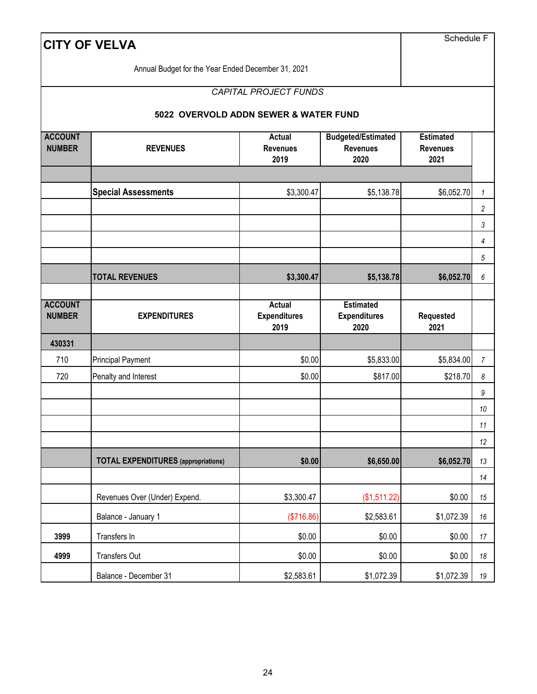| <b>CITY OF VELVA</b>            | Schedule F                                         |                                          |                                                      |                                             |                |
|---------------------------------|----------------------------------------------------|------------------------------------------|------------------------------------------------------|---------------------------------------------|----------------|
|                                 | Annual Budget for the Year Ended December 31, 2021 |                                          |                                                      |                                             |                |
|                                 |                                                    | <b>CAPITAL PROJECT FUNDS</b>             |                                                      |                                             |                |
|                                 | 5022 OVERVOLD ADDN SEWER & WATER FUND              |                                          |                                                      |                                             |                |
| <b>ACCOUNT</b><br><b>NUMBER</b> | <b>REVENUES</b>                                    | <b>Actual</b><br><b>Revenues</b><br>2019 | <b>Budgeted/Estimated</b><br><b>Revenues</b><br>2020 | <b>Estimated</b><br><b>Revenues</b><br>2021 |                |
|                                 | <b>Special Assessments</b>                         | \$3,300.47                               | \$5,138.78                                           | \$6,052.70                                  | $\mathbf{1}$   |
|                                 |                                                    |                                          |                                                      |                                             | $\overline{c}$ |
|                                 |                                                    |                                          |                                                      |                                             | $\mathfrak{Z}$ |
|                                 |                                                    |                                          |                                                      |                                             | 4              |
|                                 |                                                    |                                          |                                                      |                                             | 5              |
|                                 | <b>TOTAL REVENUES</b>                              | \$3,300.47                               | \$5,138.78                                           | \$6,052.70                                  | 6              |
| <b>ACCOUNT</b><br><b>NUMBER</b> | <b>EXPENDITURES</b>                                | Actual<br><b>Expenditures</b><br>2019    | <b>Estimated</b><br><b>Expenditures</b><br>2020      | Requested<br>2021                           |                |
| 430331                          |                                                    |                                          |                                                      |                                             |                |
| 710                             | <b>Principal Payment</b>                           | \$0.00                                   | \$5,833.00                                           | \$5,834.00                                  | $\overline{7}$ |
| 720                             | Penalty and Interest                               | \$0.00                                   | \$817.00                                             | \$218.70                                    | 8              |
|                                 |                                                    |                                          |                                                      |                                             | 9              |
|                                 |                                                    |                                          |                                                      |                                             | 10             |
|                                 |                                                    |                                          |                                                      |                                             | 11<br>12       |
|                                 | <b>TOTAL EXPENDITURES</b> (appropriations)         | \$0.00                                   | \$6,650.00                                           | \$6,052.70                                  | 13             |
|                                 |                                                    |                                          |                                                      |                                             | 14             |
|                                 | Revenues Over (Under) Expend.                      | \$3,300.47                               | (\$1,511.22)                                         | \$0.00                                      | 15             |
|                                 | Balance - January 1                                | (\$716.86)                               | \$2,583.61                                           | \$1,072.39                                  | 16             |
| 3999                            | Transfers In                                       | \$0.00                                   | \$0.00                                               | \$0.00                                      | 17             |
| 4999                            | Transfers Out                                      | \$0.00                                   | \$0.00                                               | \$0.00                                      | 18             |
|                                 | Balance - December 31                              | \$2,583.61                               | \$1,072.39                                           | \$1,072.39                                  | 19             |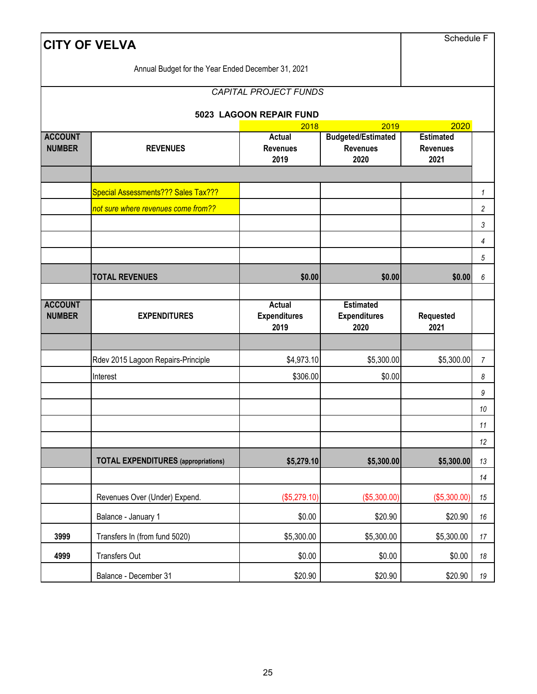|                                 | <b>CITY OF VELVA</b>                               |                                              |                                                      |                                             |                |
|---------------------------------|----------------------------------------------------|----------------------------------------------|------------------------------------------------------|---------------------------------------------|----------------|
|                                 | Annual Budget for the Year Ended December 31, 2021 |                                              |                                                      |                                             |                |
|                                 |                                                    | <b>CAPITAL PROJECT FUNDS</b>                 |                                                      |                                             |                |
|                                 |                                                    | 5023 LAGOON REPAIR FUND                      |                                                      |                                             |                |
|                                 |                                                    | 2018                                         | 2019                                                 | 2020                                        |                |
| <b>ACCOUNT</b><br><b>NUMBER</b> | <b>REVENUES</b>                                    | <b>Actual</b><br><b>Revenues</b><br>2019     | <b>Budgeted/Estimated</b><br><b>Revenues</b><br>2020 | <b>Estimated</b><br><b>Revenues</b><br>2021 |                |
|                                 | Special Assessments??? Sales Tax???                |                                              |                                                      |                                             | $\mathbf{1}$   |
|                                 | not sure where revenues come from??                |                                              |                                                      |                                             | 2              |
|                                 |                                                    |                                              |                                                      |                                             | 3              |
|                                 |                                                    |                                              |                                                      |                                             | 4              |
|                                 |                                                    |                                              |                                                      |                                             | 5              |
|                                 | <b>TOTAL REVENUES</b>                              | \$0.00                                       | \$0.00                                               | \$0.00                                      | 6              |
| <b>ACCOUNT</b><br><b>NUMBER</b> | <b>EXPENDITURES</b>                                | <b>Actual</b><br><b>Expenditures</b><br>2019 | <b>Estimated</b><br><b>Expenditures</b><br>2020      | Requested<br>2021                           |                |
|                                 |                                                    |                                              |                                                      |                                             |                |
|                                 | Rdev 2015 Lagoon Repairs-Principle                 | \$4,973.10                                   | \$5,300.00                                           | \$5,300.00                                  | $\overline{7}$ |
|                                 | Interest                                           | \$306.00                                     | \$0.00                                               |                                             | 8              |
|                                 |                                                    |                                              |                                                      |                                             | 9              |
|                                 |                                                    |                                              |                                                      |                                             | 10             |
|                                 |                                                    |                                              |                                                      |                                             | 11             |
|                                 |                                                    |                                              |                                                      |                                             | 12             |
|                                 | <b>TOTAL EXPENDITURES</b> (appropriations)         | \$5,279.10                                   | \$5,300.00                                           | \$5,300.00                                  | 13             |
|                                 |                                                    |                                              |                                                      |                                             | 14             |
|                                 | Revenues Over (Under) Expend.                      | (\$5,279.10)                                 | (\$5,300.00)                                         | (\$5,300.00)                                | 15             |
|                                 | Balance - January 1                                | \$0.00                                       | \$20.90                                              | \$20.90                                     | 16             |
| 3999                            | Transfers In (from fund 5020)                      | \$5,300.00                                   | \$5,300.00                                           | \$5,300.00                                  | 17             |
| 4999                            | Transfers Out                                      | \$0.00                                       | \$0.00                                               | \$0.00                                      | 18             |
|                                 | Balance - December 31                              | \$20.90                                      | \$20.90                                              | \$20.90                                     | 19             |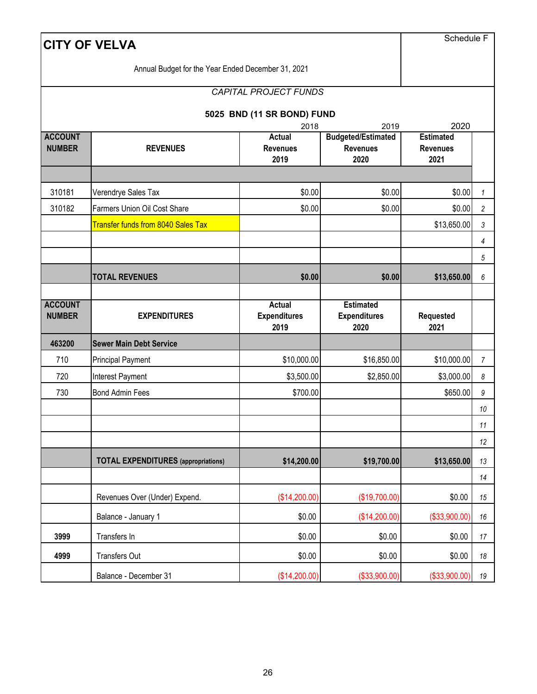|                                 | <b>CITY OF VELVA</b>                               |                                       |                                                 | Schedule F               |                |
|---------------------------------|----------------------------------------------------|---------------------------------------|-------------------------------------------------|--------------------------|----------------|
|                                 | Annual Budget for the Year Ended December 31, 2021 |                                       |                                                 |                          |                |
|                                 |                                                    | <b>CAPITAL PROJECT FUNDS</b>          |                                                 |                          |                |
|                                 |                                                    | 5025 BND (11 SR BOND) FUND            |                                                 |                          |                |
| <b>ACCOUNT</b>                  |                                                    | 2018<br><b>Actual</b>                 | 2019<br><b>Budgeted/Estimated</b>               | 2020<br><b>Estimated</b> |                |
| <b>NUMBER</b>                   | <b>REVENUES</b>                                    | <b>Revenues</b><br>2019               | <b>Revenues</b><br>2020                         | <b>Revenues</b><br>2021  |                |
|                                 |                                                    |                                       |                                                 |                          |                |
| 310181                          | Verendrye Sales Tax                                | \$0.00                                | \$0.00                                          | \$0.00                   | 1              |
| 310182                          | <b>Farmers Union Oil Cost Share</b>                | \$0.00                                | \$0.00                                          | \$0.00                   | 2              |
|                                 | <b>Transfer funds from 8040 Sales Tax</b>          |                                       |                                                 | \$13,650.00              | 3              |
|                                 |                                                    |                                       |                                                 |                          | 4<br>5         |
|                                 | <b>TOTAL REVENUES</b>                              | \$0.00                                | \$0.00                                          | \$13,650.00              | 6              |
|                                 |                                                    |                                       |                                                 |                          |                |
| <b>ACCOUNT</b><br><b>NUMBER</b> | <b>EXPENDITURES</b>                                | Actual<br><b>Expenditures</b><br>2019 | <b>Estimated</b><br><b>Expenditures</b><br>2020 | Requested<br>2021        |                |
| 463200                          | <b>Sewer Main Debt Service</b>                     |                                       |                                                 |                          |                |
| 710                             | <b>Principal Payment</b>                           | \$10,000.00                           | \$16,850.00                                     | \$10,000.00              | $\overline{7}$ |
| 720                             | Interest Payment                                   | \$3,500.00                            | \$2,850.00                                      | \$3,000.00               | 8              |
| 730                             | <b>Bond Admin Fees</b>                             | \$700.00                              |                                                 | \$650.00                 | 9              |
|                                 |                                                    |                                       |                                                 |                          | 10             |
|                                 |                                                    |                                       |                                                 |                          | 11             |
|                                 |                                                    |                                       |                                                 |                          | 12             |
|                                 | <b>TOTAL EXPENDITURES</b> (appropriations)         | \$14,200.00                           | \$19,700.00                                     | \$13,650.00              | 13             |
|                                 |                                                    |                                       |                                                 |                          | 14             |
|                                 | Revenues Over (Under) Expend.                      | (\$14,200.00)                         | (\$19,700.00)                                   | \$0.00                   | 15             |
|                                 | Balance - January 1                                | \$0.00                                | (\$14,200.00)                                   | (\$33,900.00)            | 16             |
| 3999                            | Transfers In                                       | \$0.00                                | \$0.00                                          | \$0.00                   | 17             |
| 4999                            | Transfers Out                                      | \$0.00                                | \$0.00                                          | \$0.00                   | 18             |
|                                 | Balance - December 31                              | (\$14,200.00)                         | (\$33,900.00)                                   | (\$33,900.00)            | 19             |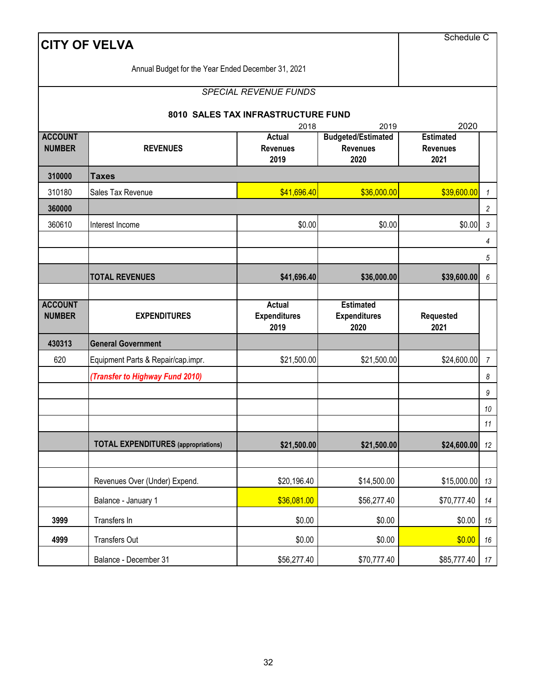|                                 | <b>CITY OF VELVA</b>                               |                                           |                                                              | Schedule C                                          |                  |
|---------------------------------|----------------------------------------------------|-------------------------------------------|--------------------------------------------------------------|-----------------------------------------------------|------------------|
|                                 | Annual Budget for the Year Ended December 31, 2021 |                                           |                                                              |                                                     |                  |
|                                 |                                                    | <b>SPECIAL REVENUE FUNDS</b>              |                                                              |                                                     |                  |
|                                 |                                                    | 8010 SALES TAX INFRASTRUCTURE FUND        |                                                              |                                                     |                  |
| <b>ACCOUNT</b><br><b>NUMBER</b> | <b>REVENUES</b>                                    | 2018<br>Actual<br><b>Revenues</b><br>2019 | 2019<br><b>Budgeted/Estimated</b><br><b>Revenues</b><br>2020 | 2020<br><b>Estimated</b><br><b>Revenues</b><br>2021 |                  |
| 310000                          | <b>Taxes</b>                                       |                                           |                                                              |                                                     |                  |
| 310180                          | Sales Tax Revenue                                  | \$41,696.40                               | \$36,000.00                                                  | \$39,600.00                                         | $\mathbf{1}$     |
| 360000                          |                                                    |                                           |                                                              |                                                     | $\overline{c}$   |
| 360610                          | Interest Income                                    | \$0.00                                    | \$0.00                                                       | \$0.00                                              | $\sqrt{3}$       |
|                                 |                                                    |                                           |                                                              |                                                     | 4                |
|                                 |                                                    |                                           |                                                              |                                                     | 5                |
|                                 | <b>TOTAL REVENUES</b>                              | \$41,696.40                               | \$36,000.00                                                  | \$39,600.00                                         | $\boldsymbol{6}$ |
|                                 |                                                    |                                           |                                                              |                                                     |                  |
|                                 |                                                    |                                           |                                                              |                                                     |                  |
| <b>ACCOUNT</b><br><b>NUMBER</b> | <b>EXPENDITURES</b>                                | Actual<br><b>Expenditures</b><br>2019     | <b>Estimated</b><br><b>Expenditures</b><br>2020              | <b>Requested</b><br>2021                            |                  |
| 430313                          | <b>General Government</b>                          |                                           |                                                              |                                                     |                  |
| 620                             | Equipment Parts & Repair/cap.impr.                 | \$21,500.00                               | \$21,500.00                                                  | \$24,600.00                                         | $\overline{7}$   |
|                                 | (Transfer to Highway Fund 2010)                    |                                           |                                                              |                                                     | 8                |
|                                 |                                                    |                                           |                                                              |                                                     | 9                |
|                                 |                                                    |                                           |                                                              |                                                     | 10               |
|                                 |                                                    |                                           |                                                              |                                                     | $11\,$           |
|                                 | <b>TOTAL EXPENDITURES</b> (appropriations)         | \$21,500.00                               | \$21,500.00                                                  | \$24,600.00                                         | 12               |
|                                 |                                                    |                                           |                                                              |                                                     |                  |
|                                 | Revenues Over (Under) Expend.                      | \$20,196.40                               | \$14,500.00                                                  | \$15,000.00                                         | 13               |
|                                 | Balance - January 1                                | \$36,081.00                               | \$56,277.40                                                  | \$70,777.40                                         | 14               |
| 3999                            | Transfers In                                       | \$0.00                                    | \$0.00                                                       | \$0.00                                              | $15\,$           |
| 4999                            | <b>Transfers Out</b>                               | \$0.00                                    | \$0.00                                                       | \$0.00                                              | $16\,$           |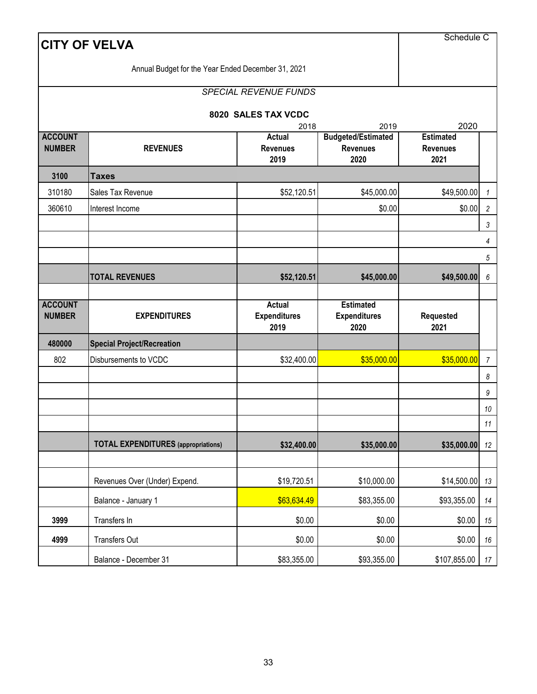|                                 | <b>CITY OF VELVA</b>                               |                                              |                                                      | Schedule C                                  |                  |  |  |  |
|---------------------------------|----------------------------------------------------|----------------------------------------------|------------------------------------------------------|---------------------------------------------|------------------|--|--|--|
|                                 | Annual Budget for the Year Ended December 31, 2021 |                                              |                                                      |                                             |                  |  |  |  |
|                                 |                                                    | <b>SPECIAL REVENUE FUNDS</b>                 |                                                      |                                             |                  |  |  |  |
|                                 |                                                    | 8020 SALES TAX VCDC                          |                                                      |                                             |                  |  |  |  |
|                                 |                                                    | 2018                                         | 2019                                                 | 2020                                        |                  |  |  |  |
| <b>ACCOUNT</b><br><b>NUMBER</b> | <b>REVENUES</b>                                    | <b>Actual</b><br><b>Revenues</b><br>2019     | <b>Budgeted/Estimated</b><br><b>Revenues</b><br>2020 | <b>Estimated</b><br><b>Revenues</b><br>2021 |                  |  |  |  |
| 3100                            | <b>Taxes</b>                                       |                                              |                                                      |                                             |                  |  |  |  |
| 310180                          | Sales Tax Revenue                                  | \$52,120.51                                  | \$45,000.00                                          | \$49,500.00                                 | $\mathbf{1}$     |  |  |  |
| 360610                          | Interest Income                                    |                                              | \$0.00                                               | \$0.00                                      | $\sqrt{2}$       |  |  |  |
|                                 |                                                    |                                              |                                                      |                                             | 3                |  |  |  |
|                                 |                                                    |                                              |                                                      |                                             | 4                |  |  |  |
|                                 |                                                    |                                              |                                                      |                                             | 5                |  |  |  |
|                                 | <b>TOTAL REVENUES</b>                              | \$52,120.51                                  | \$45,000.00                                          | \$49,500.00                                 | $\boldsymbol{6}$ |  |  |  |
| <b>ACCOUNT</b><br><b>NUMBER</b> | <b>EXPENDITURES</b>                                | <b>Actual</b><br><b>Expenditures</b><br>2019 | <b>Estimated</b><br><b>Expenditures</b><br>2020      | <b>Requested</b><br>2021                    |                  |  |  |  |
| 480000                          | <b>Special Project/Recreation</b>                  |                                              |                                                      |                                             |                  |  |  |  |
| 802                             | Disbursements to VCDC                              | \$32,400.00                                  | \$35,000.00                                          | \$35,000.00                                 | $\overline{7}$   |  |  |  |
|                                 |                                                    |                                              |                                                      |                                             | 8                |  |  |  |
|                                 |                                                    |                                              |                                                      |                                             | 9                |  |  |  |
|                                 |                                                    |                                              |                                                      |                                             | 10               |  |  |  |
|                                 |                                                    |                                              |                                                      |                                             | 11               |  |  |  |
|                                 | <b>TOTAL EXPENDITURES</b> (appropriations)         | \$32,400.00                                  | \$35,000.00                                          | \$35,000.00                                 | 12               |  |  |  |
|                                 |                                                    |                                              |                                                      |                                             |                  |  |  |  |
|                                 | Revenues Over (Under) Expend.                      | \$19,720.51                                  | \$10,000.00                                          | \$14,500.00                                 | 13               |  |  |  |
|                                 | Balance - January 1                                | \$63,634.49                                  | \$83,355.00                                          | \$93,355.00                                 | 14               |  |  |  |
| 3999                            | Transfers In                                       | \$0.00                                       | \$0.00                                               | \$0.00                                      | 15               |  |  |  |
| 4999                            | Transfers Out                                      | \$0.00                                       | \$0.00                                               | \$0.00                                      | 16               |  |  |  |
|                                 | Balance - December 31                              | \$83,355.00                                  | \$93,355.00                                          | \$107,855.00                                | 17               |  |  |  |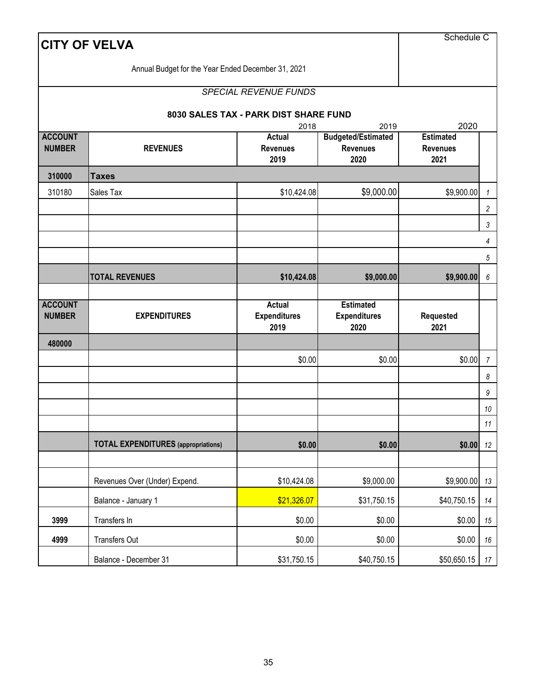|                                 | <b>CITY OF VELVA</b>                               |                                          |                                                      | Schedule C                                  |                  |  |  |  |
|---------------------------------|----------------------------------------------------|------------------------------------------|------------------------------------------------------|---------------------------------------------|------------------|--|--|--|
|                                 | Annual Budget for the Year Ended December 31, 2021 |                                          |                                                      |                                             |                  |  |  |  |
|                                 |                                                    | <b>SPECIAL REVENUE FUNDS</b>             |                                                      |                                             |                  |  |  |  |
|                                 |                                                    | 8030 SALES TAX - PARK DIST SHARE FUND    |                                                      |                                             |                  |  |  |  |
|                                 |                                                    | 2018                                     | 2019                                                 | 2020                                        |                  |  |  |  |
| <b>ACCOUNT</b><br><b>NUMBER</b> | <b>REVENUES</b>                                    | <b>Actual</b><br><b>Revenues</b><br>2019 | <b>Budgeted/Estimated</b><br><b>Revenues</b><br>2020 | <b>Estimated</b><br><b>Revenues</b><br>2021 |                  |  |  |  |
| 310000                          | <b>Taxes</b>                                       |                                          |                                                      |                                             |                  |  |  |  |
| 310180                          | Sales Tax                                          | \$10,424.08                              | \$9,000.00                                           | \$9,900.00                                  | $\mathbf{1}$     |  |  |  |
|                                 |                                                    |                                          |                                                      |                                             | $\overline{c}$   |  |  |  |
|                                 |                                                    |                                          |                                                      |                                             | 3                |  |  |  |
|                                 |                                                    |                                          |                                                      |                                             | 4                |  |  |  |
|                                 |                                                    |                                          |                                                      |                                             | $\sqrt{5}$       |  |  |  |
|                                 | <b>TOTAL REVENUES</b>                              | \$10,424.08                              | \$9,000.00                                           | \$9,900.00                                  | $\boldsymbol{6}$ |  |  |  |
| <b>ACCOUNT</b><br><b>NUMBER</b> | <b>EXPENDITURES</b>                                | Actual<br><b>Expenditures</b>            | <b>Estimated</b><br><b>Expenditures</b>              | <b>Requested</b>                            |                  |  |  |  |
| 480000                          |                                                    | 2019                                     | 2020                                                 | 2021                                        |                  |  |  |  |
|                                 |                                                    | \$0.00                                   | \$0.00                                               | \$0.00                                      | $\overline{7}$   |  |  |  |
|                                 |                                                    |                                          |                                                      |                                             | 8                |  |  |  |
|                                 |                                                    |                                          |                                                      |                                             | 9                |  |  |  |
|                                 |                                                    |                                          |                                                      |                                             |                  |  |  |  |
|                                 |                                                    |                                          |                                                      |                                             | 10               |  |  |  |
|                                 |                                                    |                                          |                                                      |                                             | $11\,$           |  |  |  |
|                                 | <b>TOTAL EXPENDITURES</b> (appropriations)         | \$0.00                                   | \$0.00                                               | \$0.00                                      | 12               |  |  |  |
|                                 |                                                    |                                          |                                                      |                                             |                  |  |  |  |
|                                 | Revenues Over (Under) Expend.                      | \$10,424.08                              | \$9,000.00                                           | \$9,900.00                                  | 13               |  |  |  |
|                                 | Balance - January 1                                | \$21,326.07                              | \$31,750.15                                          | \$40,750.15                                 | 14               |  |  |  |
| 3999                            | Transfers In                                       | \$0.00                                   | \$0.00                                               | \$0.00                                      | $15\,$           |  |  |  |
| 4999                            | Transfers Out                                      | \$0.00                                   | \$0.00                                               | \$0.00                                      | $16\,$           |  |  |  |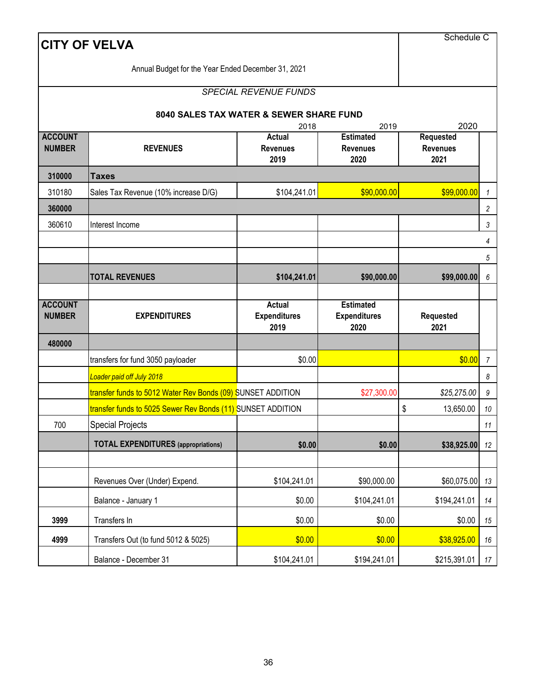|                                 | <b>CITY OF VELVA</b>                                        |                                              |                                                 | Schedule C               |                  |
|---------------------------------|-------------------------------------------------------------|----------------------------------------------|-------------------------------------------------|--------------------------|------------------|
|                                 | Annual Budget for the Year Ended December 31, 2021          |                                              |                                                 |                          |                  |
|                                 |                                                             | <b>SPECIAL REVENUE FUNDS</b>                 |                                                 |                          |                  |
|                                 |                                                             | 8040 SALES TAX WATER & SEWER SHARE FUND      |                                                 |                          |                  |
|                                 |                                                             | 2018                                         | 2019                                            | 2020                     |                  |
| <b>ACCOUNT</b>                  |                                                             | Actual                                       | <b>Estimated</b>                                | Requested                |                  |
| <b>NUMBER</b>                   | <b>REVENUES</b>                                             | <b>Revenues</b><br>2019                      | <b>Revenues</b><br>2020                         | <b>Revenues</b><br>2021  |                  |
| 310000                          | <b>Taxes</b>                                                |                                              |                                                 |                          |                  |
| 310180                          | Sales Tax Revenue (10% increase D/G)                        | \$90,000.00                                  | \$99,000.00                                     | $\mathcal{I}$            |                  |
| 360000                          |                                                             |                                              |                                                 |                          | 2                |
| 360610                          | Interest Income                                             |                                              |                                                 |                          | 3                |
|                                 |                                                             |                                              |                                                 |                          | 4                |
|                                 |                                                             |                                              |                                                 |                          | 5                |
|                                 | <b>TOTAL REVENUES</b>                                       | \$104,241.01                                 | \$90,000.00                                     | \$99,000.00              | $\boldsymbol{6}$ |
|                                 |                                                             |                                              |                                                 |                          |                  |
|                                 |                                                             |                                              |                                                 |                          |                  |
| <b>ACCOUNT</b><br><b>NUMBER</b> | <b>EXPENDITURES</b>                                         | <b>Actual</b><br><b>Expenditures</b><br>2019 | <b>Estimated</b><br><b>Expenditures</b><br>2020 | <b>Requested</b><br>2021 |                  |
| 480000                          |                                                             |                                              |                                                 |                          |                  |
|                                 | transfers for fund 3050 payloader                           | \$0.00                                       |                                                 | \$0.00                   | $\overline{7}$   |
|                                 | Loader paid off July 2018                                   |                                              |                                                 |                          | 8                |
|                                 | transfer funds to 5012 Water Rev Bonds (09) SUNSET ADDITION |                                              | \$27,300.00                                     | \$25,275.00              | 9                |
|                                 | transfer funds to 5025 Sewer Rev Bonds (11) SUNSET ADDITION |                                              |                                                 | \$<br>13,650.00          | 10               |
| 700                             | <b>Special Projects</b>                                     |                                              |                                                 |                          | $11$             |
|                                 | <b>TOTAL EXPENDITURES</b> (appropriations)                  | \$0.00                                       | \$0.00                                          | \$38,925.00              | 12               |
|                                 |                                                             |                                              |                                                 |                          |                  |
|                                 | Revenues Over (Under) Expend.                               | \$104,241.01                                 | \$90,000.00                                     | \$60,075.00              | 13               |
|                                 | Balance - January 1                                         | \$0.00                                       | \$104,241.01                                    | \$194,241.01             | 14               |
| 3999                            | Transfers In                                                | \$0.00                                       | \$0.00                                          | \$0.00                   | 15               |
| 4999                            | Transfers Out (to fund 5012 & 5025)                         | \$0.00                                       | \$0.00                                          | \$38,925.00              | 16               |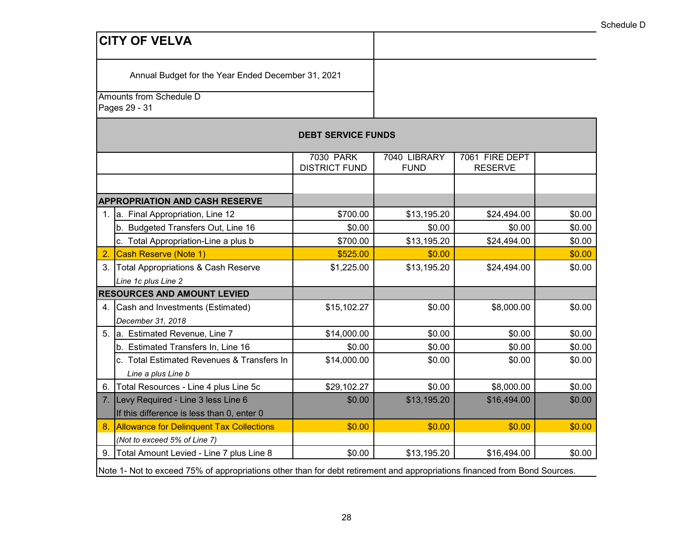Annual Budget for the Year Ended December 31, 2021

Amounts from Schedule D

Pages 29 - 31

| <b>DEBT SERVICE FUNDS</b> |                                                                                                                           |                      |              |                |        |  |  |  |  |  |
|---------------------------|---------------------------------------------------------------------------------------------------------------------------|----------------------|--------------|----------------|--------|--|--|--|--|--|
|                           |                                                                                                                           | <b>7030 PARK</b>     | 7040 LIBRARY | 7061 FIRE DEPT |        |  |  |  |  |  |
|                           |                                                                                                                           | <b>DISTRICT FUND</b> | <b>FUND</b>  | <b>RESERVE</b> |        |  |  |  |  |  |
|                           |                                                                                                                           |                      |              |                |        |  |  |  |  |  |
|                           | <b>APPROPRIATION AND CASH RESERVE</b>                                                                                     |                      |              |                |        |  |  |  |  |  |
| 1.                        | a. Final Appropriation, Line 12                                                                                           | \$700.00             | \$13,195.20  | \$24,494.00    | \$0.00 |  |  |  |  |  |
|                           | b. Budgeted Transfers Out, Line 16                                                                                        | \$0.00               | \$0.00       | \$0.00         | \$0.00 |  |  |  |  |  |
|                           | c. Total Appropriation-Line a plus b                                                                                      | \$700.00             | \$13,195.20  | \$24,494.00    | \$0.00 |  |  |  |  |  |
| $\overline{2}$            | <b>Cash Reserve (Note 1)</b>                                                                                              | \$525.00             | \$0.00       |                | \$0.00 |  |  |  |  |  |
| 3.                        | <b>Total Appropriations &amp; Cash Reserve</b>                                                                            | \$1,225.00           | \$13,195.20  | \$24,494.00    | \$0.00 |  |  |  |  |  |
|                           | Line 1c plus Line 2                                                                                                       |                      |              |                |        |  |  |  |  |  |
|                           | <b>RESOURCES AND AMOUNT LEVIED</b>                                                                                        |                      |              |                |        |  |  |  |  |  |
|                           | 4. Cash and Investments (Estimated)                                                                                       | \$15,102.27          | \$0.00       | \$8,000.00     | \$0.00 |  |  |  |  |  |
|                           | December 31, 2018                                                                                                         |                      |              |                |        |  |  |  |  |  |
| 5.                        | a. Estimated Revenue, Line 7                                                                                              | \$14,000.00          | \$0.00       | \$0.00         | \$0.00 |  |  |  |  |  |
|                           | b. Estimated Transfers In, Line 16                                                                                        | \$0.00               | \$0.00       | \$0.00         | \$0.00 |  |  |  |  |  |
|                           | c. Total Estimated Revenues & Transfers In                                                                                | \$14,000.00          | \$0.00       | \$0.00         | \$0.00 |  |  |  |  |  |
|                           | Line a plus Line b                                                                                                        |                      |              |                |        |  |  |  |  |  |
| 6.                        | Total Resources - Line 4 plus Line 5c                                                                                     | \$29,102.27          | \$0.00       | \$8,000.00     | \$0.00 |  |  |  |  |  |
|                           | 7. Levy Required - Line 3 less Line 6                                                                                     | \$0.00               | \$13,195.20  | \$16,494.00    | \$0.00 |  |  |  |  |  |
|                           | If this difference is less than 0, enter 0                                                                                |                      |              |                |        |  |  |  |  |  |
| 8.                        | <b>Allowance for Delinquent Tax Collections</b>                                                                           | \$0.00               | \$0.00       | \$0.00         | \$0.00 |  |  |  |  |  |
|                           | (Not to exceed 5% of Line 7)                                                                                              |                      |              |                |        |  |  |  |  |  |
| 9.                        | Total Amount Levied - Line 7 plus Line 8                                                                                  | \$0.00               | \$13,195.20  | \$16,494.00    | \$0.00 |  |  |  |  |  |
|                           | Note 1- Not to exceed 75% of appropriations other than for debt retirement and appropriations financed from Bond Sources. |                      |              |                |        |  |  |  |  |  |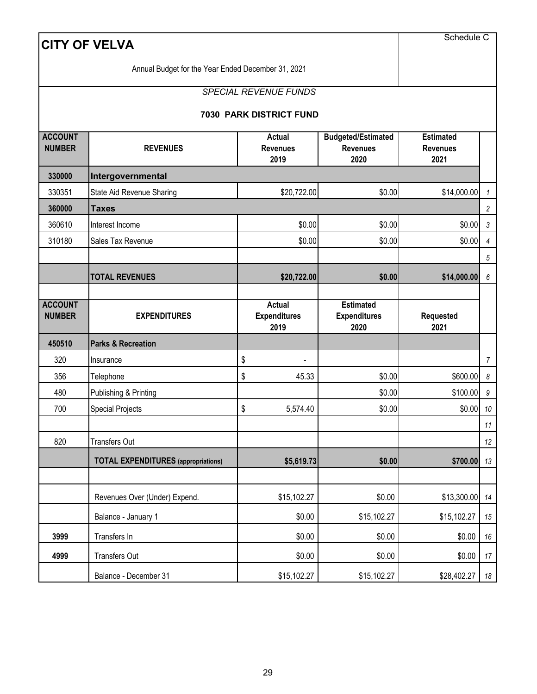|                                 | <b>CITY OF VELVA</b>                               |                                              |                              |                                                 | Schedule C        |                       |
|---------------------------------|----------------------------------------------------|----------------------------------------------|------------------------------|-------------------------------------------------|-------------------|-----------------------|
|                                 | Annual Budget for the Year Ended December 31, 2021 |                                              |                              |                                                 |                   |                       |
|                                 |                                                    |                                              | <b>SPECIAL REVENUE FUNDS</b> |                                                 |                   |                       |
|                                 |                                                    |                                              | 7030 PARK DISTRICT FUND      |                                                 |                   |                       |
| <b>ACCOUNT</b><br><b>NUMBER</b> | <b>REVENUES</b>                                    | <b>Estimated</b><br><b>Revenues</b><br>2021  |                              |                                                 |                   |                       |
| 330000                          | Intergovernmental                                  |                                              |                              |                                                 |                   |                       |
| 330351                          | State Aid Revenue Sharing                          |                                              | \$20,722.00                  | \$0.00                                          | \$14,000.00       | 1                     |
| 360000                          | <b>Taxes</b>                                       |                                              |                              |                                                 |                   | $\overline{c}$        |
| 360610                          | Interest Income                                    | \$0.00<br>\$0.00                             |                              |                                                 |                   | \$0.00<br>3           |
| 310180                          | Sales Tax Revenue                                  |                                              | \$0.00                       | \$0.00                                          | \$0.00            | 4                     |
|                                 |                                                    |                                              |                              |                                                 |                   | $\sqrt{5}$            |
|                                 | <b>TOTAL REVENUES</b>                              |                                              | \$20,722.00                  | \$0.00                                          | \$14,000.00       | 6                     |
| <b>ACCOUNT</b><br><b>NUMBER</b> | <b>EXPENDITURES</b>                                | <b>Actual</b><br><b>Expenditures</b><br>2019 |                              | <b>Estimated</b><br><b>Expenditures</b><br>2020 | Requested<br>2021 |                       |
| 450510                          | <b>Parks &amp; Recreation</b>                      |                                              |                              |                                                 |                   |                       |
| 320                             | Insurance                                          | \$                                           |                              |                                                 |                   | $\overline{7}$        |
| 356                             | Telephone                                          | \$                                           | 45.33                        | \$0.00                                          | \$600.00          | $\boldsymbol{\delta}$ |
| 480                             | Publishing & Printing                              |                                              |                              | \$0.00                                          | \$100.00          | 9                     |
| 700                             | <b>Special Projects</b>                            | \$                                           | 5,574.40                     | \$0.00                                          | \$0.00            | $10\,$                |
|                                 |                                                    |                                              |                              |                                                 |                   | 11                    |
| 820                             | Transfers Out                                      |                                              |                              |                                                 |                   | 12                    |
|                                 | <b>TOTAL EXPENDITURES</b> (appropriations)         |                                              | \$5,619.73                   | \$0.00                                          | \$700.00          | 13                    |
|                                 | Revenues Over (Under) Expend.                      |                                              | \$15,102.27                  | \$0.00                                          | $$13,300.00$ 14   |                       |
|                                 | Balance - January 1                                |                                              | \$0.00                       | \$15,102.27                                     | \$15,102.27       | $15\,$                |
| 3999                            | Transfers In                                       |                                              | \$0.00                       | \$0.00                                          | \$0.00            | 16                    |
| 4999                            | <b>Transfers Out</b>                               |                                              | \$0.00                       | \$0.00                                          | \$0.00            | 17                    |
|                                 | Balance - December 31                              |                                              | \$15,102.27                  | \$15,102.27                                     | \$28,402.27       | 18                    |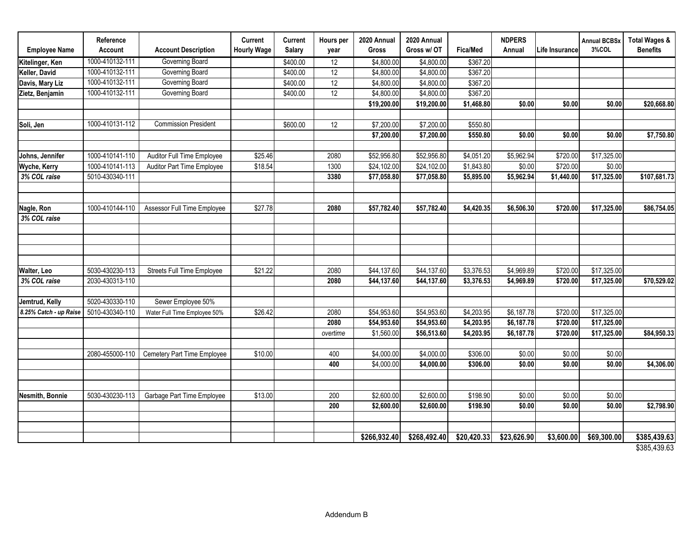| <b>Employee Name</b>   | Reference<br>Account | <b>Account Description</b>        | Current<br><b>Hourly Wage</b> | <b>Current</b><br>Salary | Hours per<br>year | 2020 Annual<br>Gross   | 2020 Annual<br>Gross w/ OT | Fica/Med               | <b>NDPERS</b><br>Annual | Life Insurance | <b>Annual BCBSx</b><br>3%COL | <b>Total Wages &amp;</b><br><b>Benefits</b>                                                                            |
|------------------------|----------------------|-----------------------------------|-------------------------------|--------------------------|-------------------|------------------------|----------------------------|------------------------|-------------------------|----------------|------------------------------|------------------------------------------------------------------------------------------------------------------------|
| Kitelinger, Ken        | 1000-410132-111      | Governing Board                   |                               | \$400.00                 | $\overline{12}$   | \$4,800.00             | \$4,800.00                 | \$367.20               |                         |                |                              |                                                                                                                        |
| Keller, David          | 1000-410132-111      | Governing Board                   |                               | \$400.00                 | $\overline{12}$   | $\overline{$4,800.00}$ | \$4,800.00                 | \$367.20               |                         |                |                              |                                                                                                                        |
| Davis, Mary Liz        | 1000-410132-111      | Governing Board                   |                               | \$400.00                 | 12                | \$4,800.00             | \$4,800.00                 | \$367.20               |                         |                |                              |                                                                                                                        |
| Zietz, Benjamin        | 1000-410132-111      | Governing Board                   |                               | \$400.00                 | 12                | \$4,800.00             | \$4,800.00                 | \$367.20               |                         |                |                              |                                                                                                                        |
|                        |                      |                                   |                               |                          |                   | \$19,200.00            | \$19,200.00                | \$1,468.80             | \$0.00                  | \$0.00         | \$0.00                       | $\overline{$20,668.80}$                                                                                                |
| Soli, Jen              | 1000-410131-112      | <b>Commission President</b>       |                               | \$600.00                 | 12                | \$7,200.00             | \$7,200.00                 | \$550.80               |                         |                |                              |                                                                                                                        |
|                        |                      |                                   |                               |                          |                   | \$7,200.00             | \$7,200.00                 | \$550.80               | \$0.00                  | \$0.00         | \$0.00                       | \$7,750.80                                                                                                             |
|                        |                      |                                   |                               |                          |                   |                        |                            |                        |                         |                |                              |                                                                                                                        |
| Johns, Jennifer        | 1000-410141-110      | Auditor Full Time Employee        | \$25.46                       |                          | 2080              | \$52,956.80            | \$52,956.80                | \$4,051.20             | \$5,962.94              | \$720.00       | \$17,325.00                  |                                                                                                                        |
| Wyche, Kerry           | 1000-410141-113      | Auditor Part Time Employee        | \$18.54                       |                          | 1300              | \$24,102.00            | \$24,102.00                | $\overline{$1,843.80}$ | \$0.00                  | \$720.00       | \$0.00                       |                                                                                                                        |
| 3% COL raise           | 5010-430340-111      |                                   |                               |                          | 3380              | \$77,058.80            | \$77,058.80                | \$5,895.00             | \$5,962.94              | \$1,440.00     | \$17,325.00                  | \$107,681.73                                                                                                           |
|                        |                      |                                   |                               |                          |                   |                        |                            |                        |                         |                |                              |                                                                                                                        |
| Nagle, Ron             | 1000-410144-110      | Assessor Full Time Employee       | \$27.78                       |                          | 2080              | \$57,782.40            | \$57,782.40                | \$4,420.35             | \$6,506.30              | \$720.00       | \$17,325.00                  | \$86,754.05                                                                                                            |
| 3% COL raise           |                      |                                   |                               |                          |                   |                        |                            |                        |                         |                |                              |                                                                                                                        |
|                        |                      |                                   |                               |                          |                   |                        |                            |                        |                         |                |                              |                                                                                                                        |
|                        |                      |                                   |                               |                          |                   |                        |                            |                        |                         |                |                              |                                                                                                                        |
|                        |                      |                                   |                               |                          |                   |                        |                            |                        |                         |                |                              |                                                                                                                        |
| Walter, Leo            | 5030-430230-113      | <b>Streets Full Time Employee</b> | \$21.22                       |                          | 2080              | \$44,137.60            | \$44,137.60                | \$3,376.53             | \$4,969.89              | \$720.00       | \$17,325.00                  |                                                                                                                        |
| 3% COL raise           | 2030-430313-110      |                                   |                               |                          | 2080              | \$44,137.60            | \$44,137.60                | \$3,376.53             | \$4,969.89              | \$720.00       | \$17,325.00                  | \$70,529.02                                                                                                            |
|                        |                      |                                   |                               |                          |                   |                        |                            |                        |                         |                |                              |                                                                                                                        |
| Jemtrud, Kelly         | 5020-430330-110      | Sewer Employee 50%                |                               |                          |                   |                        |                            |                        |                         |                |                              |                                                                                                                        |
| 8.25% Catch - up Raise | 5010-430340-110      | Water Full Time Employee 50%      | \$26.42                       |                          | 2080              | \$54,953.60            | \$54,953.60                | \$4,203.95             | \$6,187.78              | \$720.00       | \$17,325.00                  |                                                                                                                        |
|                        |                      |                                   |                               |                          | 2080              | \$54,953.60            | \$54,953.60                | \$4,203.95             | \$6,187.78              | \$720.00       | \$17,325.00                  |                                                                                                                        |
|                        |                      |                                   |                               |                          | overtime          | \$1,560.00             | \$56,513.60                | \$4,203.95             | \$6,187.78              | \$720.00       | \$17,325.00                  | \$84,950.33                                                                                                            |
|                        |                      |                                   | \$10.00                       |                          | 400               | \$4,000.00             | \$4,000.00                 | \$306.00               | \$0.00                  | \$0.00         | \$0.00                       |                                                                                                                        |
|                        | 2080-455000-110      | Cemetery Part Time Employee       |                               |                          | 400               | \$4,000.00             | \$4,000.00                 | \$306.00               | \$0.00                  | \$0.00         | \$0.00                       | \$4,306.00                                                                                                             |
|                        |                      |                                   |                               |                          |                   |                        |                            |                        |                         |                |                              |                                                                                                                        |
|                        |                      |                                   |                               |                          |                   |                        |                            |                        |                         |                |                              |                                                                                                                        |
| Nesmith, Bonnie        | 5030-430230-113      | Garbage Part Time Employee        | \$13.00                       |                          | 200               | \$2,600.00             | \$2,600.00                 | \$198.90               | \$0.00                  | \$0.00         | \$0.00                       |                                                                                                                        |
|                        |                      |                                   |                               |                          | 200               | \$2,600.00             | \$2,600.00                 | \$198.90               | \$0.00                  | \$0.00         | \$0.00                       | $\overline{$2,798.90}$                                                                                                 |
|                        |                      |                                   |                               |                          |                   |                        |                            |                        |                         |                |                              |                                                                                                                        |
|                        |                      |                                   |                               |                          |                   | \$266,932.40           | \$268,492.40               | \$20,420.33            | \$23,626.90             | \$3,600.00     | \$69,300.00                  | \$385,439.63<br>$\begin{array}{ccc}\n\bullet & \bullet & \bullet & \bullet & \bullet & \bullet & \bullet\n\end{array}$ |

\$385,439.63